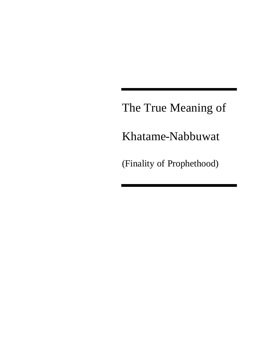The True Meaning of

Khatame-Nabbuwat

(Finality of Prophethood)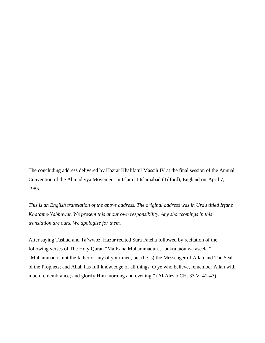The concluding address delivered by Hazrat Khalifatul Massih IV at the final session of the Annual Convention of the Ahmadiyya Movement in Islam at Islamabad (Tilford), England on April 7, 1985.

*This is an English translation of the above address. The original address was in Urdu titled Irfane Khatame-Nabbuwat. We present this at our own responsibility. Any shortcomings in this translation are ours. We apologize for them.*

After saying Tashud and Ta'wwoz, Hazur recited Sura Fateha followed by recitation of the following verses of The Holy Quran "Ma Kana Muhammadun… bukra taon wa aseela." "Muhammad is not the father of any of your men, but (he is) the Messenger of Allah and The Seal of the Prophets; and Allah has full knowledge of all things. O ye who believe, remember Allah with much remembrance; and glorify Him morning and evening." (Al-Ahzab CH. 33 V. 41-43).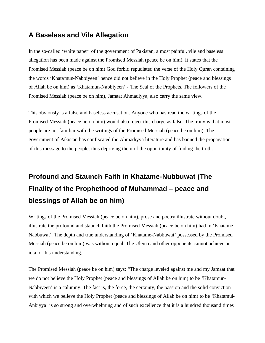### **A Baseless and Vile Allegation**

In the so-called 'white paper' of the government of Pakistan, a most painful, vile and baseless allegation has been made against the Promised Messiah (peace be on him). It states that the Promised Messiah (peace be on him) God forbid repudiated the verse of the Holy Quran containing the words 'Khatamun-Nabbiyeen' hence did not believe in the Holy Prophet (peace and blessings of Allah be on him) as 'Khatamun-Nabbiyeen' - The Seal of the Prophets. The followers of the Promised Messiah (peace be on him), Jamaat Ahmadiyya, also carry the same view.

This obviously is a false and baseless accusation. Anyone who has read the writings of the Promised Messiah (peace be on him) would also reject this charge as false. The irony is that most people are not familiar with the writings of the Promised Messiah (peace be on him). The government of Pakistan has confiscated the Ahmadiyya literature and has banned the propagation of this message to the people, thus depriving them of the opportunity of finding the truth.

# **Profound and Staunch Faith in Khatame-Nubbuwat (The Finality of the Prophethood of Muhammad – peace and blessings of Allah be on him)**

Writings of the Promised Messiah (peace be on him), prose and poetry illustrate without doubt, illustrate the profound and staunch faith the Promised Messiah (peace be on him) had in 'Khatame-Nabbuwat'. The depth and true understanding of 'Khatame-Nabbuwat' possessed by the Promised Messiah (peace be on him) was without equal. The Ulema and other opponents cannot achieve an iota of this understanding.

The Promised Messiah (peace be on him) says: "The charge leveled against me and my Jamaat that we do not believe the Holy Prophet (peace and blessings of Allah be on him) to be 'Khatamun-Nabbiyeen' is a calumny. The fact is, the force, the certainty, the passion and the solid conviction with which we believe the Holy Prophet (peace and blessings of Allah be on him) to be 'Khatamul-Anbiyya' is so strong and overwhelming and of such excellence that it is a hundred thousand times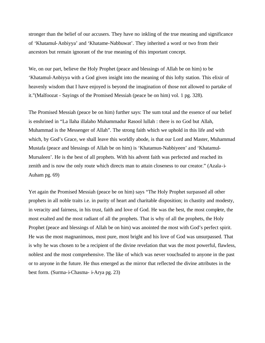stronger than the belief of our accusers. They have no inkling of the true meaning and significance of 'Khatamul-Anbiyya' and 'Khatame-Nabbuwat'. They inherited a word or two from their ancestors but remain ignorant of the true meaning of this important concept.

We, on our part, believe the Holy Prophet (peace and blessings of Allah be on him) to be 'Khatamul-Anbiyya with a God given insight into the meaning of this lofty station. This elixir of heavenly wisdom that I have enjoyed is beyond the imagination of those not allowed to partake of it."(Malfoozat - Sayings of the Promised Messiah (peace be on him) vol. 1 pg. 328).

The Promised Messiah (peace be on him) further says: The sum total and the essence of our belief is enshrined in "La llaha illalaho Muhammadur Rasool lullah : there is no God but Allah, Muhammad is the Messenger of Allah". The strong faith which we uphold in this life and with which, by God's Grace, we shall leave this worldly abode, is that our Lord and Master, Muhammad Mustafa (peace and blessings of Allah be on him) is 'Khatamun-Nabbiyeen' and 'Khatamul-Mursaleen'. He is the best of all prophets. With his advent faith was perfected and reached its zenith and is now the only route which directs man to attain closeness to our creator." (Azala-i-Auham pg. 69)

Yet again the Promised Messiah (peace be on him) says "The Holy Prophet surpassed all other prophets in all noble traits i.e. in purity of heart and charitable disposition; in chastity and modesty, in veracity and fairness, in his trust, faith and love of God. He was the best, the most complete, the most exalted and the most radiant of all the prophets. That is why of all the prophets, the Holy Prophet (peace and blessings of Allah be on him) was anointed the most with God's perfect spirit. He was the most magnanimous, most pure, most bright and his love of God was unsurpassed. That is why he was chosen to be a recipient of the divine revelation that was the most powerful, flawless, noblest and the most comprehensive. The like of which was never vouchsafed to anyone in the past or to anyone in the future. He thus emerged as the mirror that reflected the divine attributes in the best form. (Surma-i-Chasma- i-Arya pg. 23)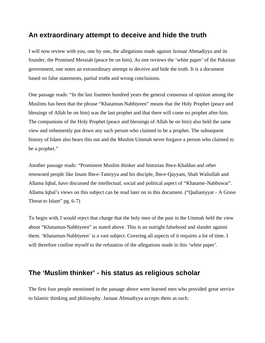#### **An extraordinary attempt to deceive and hide the truth**

I will now review with you, one by one, the allegations made against Jamaat Ahmadiyya and its founder, the Promised Messiah (peace be on him). As one reviews the 'white paper' of the Pakistan government, one notes an extraordinary attempt to deceive and hide the truth. It is a document based on false statements, partial truths and wrong conclusions.

One passage reads: "In the last fourteen hundred years the general consensus of opinion among the Muslims has been that the phrase "Khatamun-Nabbiyeen" means that the Holy Prophet (peace and blessings of Allah be on him) was the last prophet and that there will come no prophet after him. The companions of the Holy Prophet (peace and blessings of Allah be on him) also held the same view and vehemently put down any such person who claimed to be a prophet. The subsequent history of Islam also bears this out and the Muslim Ummah never forgave a person who claimed to be a prophet."

Another passage reads: "Prominent Muslim thinker and historian Ibn-e-Khaldun and other renowned people like lmam Ibn-e-Tamiyya and his disciple, Ibn-e-Qayyam, Shah Waliullah and Allama Iqbal, have discussed the intellectual, social and political aspect of "Khatame-Nabbuwat". Allama Iqbal's views on this subject can be read later on in this document. ("Qadianiyyat - A Grave Threat to Islam" pg. 6-7)

To begin with, I would reject that charge that the holy men of the past in the Ummah held the view about "Khatamun-Nabbiyeen" as stated above. This is an outright falsehood and slander against them. 'Khatamun-Nabbiyeen' is a vast subject. Covering all aspects of it requires a lot of time. I will therefore confine myself to the refutation of the allegations made in this 'white paper'.

### **The 'Muslim thinker' - his status as religious scholar**

The first four people mentioned in the passage above were learned men who provided great service to Islamic thinking and philosophy. Jamaat Ahmadiyya accepts them as such.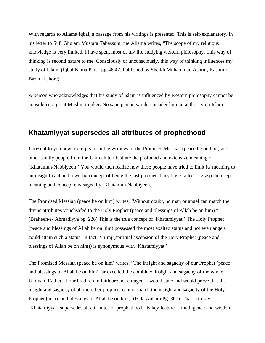With regards to Allama Iqbal, a passage from his writings is presented. This is self-explanatory. In his letter to Sufi Ghulam Mustafa Tabassum, the Allama writes, "The scope of my religious knowledge is very limited. I have spent most of my life studying western philosophy. This way of thinking is second nature to me. Consciously or unconsciously, this way of thinking influences my study of Islam. (Iqbal Nama Part I pg. 46,47. Published by Sheikh Muhammad Ashraf, Kashmiri Bazar, Lahore)

A person who acknowledges that his study of Islam is influenced by western philosophy cannot be considered a great Muslim thinker. No sane person would consider him an authority on Islam.

### **Khatamiyyat supersedes all attributes of prophethood**

I present to you now, excerpts from the writings of the Promised Messiah (peace be on him) and other saintly people from the Ummah to illustrate the profound and extensive meaning of 'Khatamun-Nabbiyeen.' You would then realize how these people have tried to limit its meaning to an insignificant and a wrong concept of being the last prophet. They have failed to grasp the deep meaning and concept envisaged by 'Khatamun-Nabbiyeen.'

The Promised Messiah (peace be on him) writes, 'Without doubt, no man or angel can match the divine attributes vouchsafed to the Holy Prophet (peace and blessings of Allah be on him)." (Braheen-e- Ahmadiyya pg. 226) This is the true concept of 'Khatamiyyat.' The Holy Prophet (peace and blessings of Allah be on him) possessed the most exalted status and not even angels could attain such a status. In fact, Mi'raj (spiritual ascension of the Holy Prophet (peace and blessings of Allah be on him)) is synonymous with 'Khatamiyyat.'

The Promised Messiah (peace be on him) writes, "The insight and sagacity of our Prophet (peace and blessings of Allah be on him) far excelled the combined insight and sagacity of the whole Ummah. Rather, if our brethren in faith are not enraged, I would state and would prove that the insight and sagacity of all the other prophets cannot match the insight and sagacity of the Holy Prophet (peace and blessings of Allah be on him). (lzala Auham Pg. 367). That is to say 'Khatamiyyat' supersedes all attributes of prophethood. Its key feature is intelligence and wisdom.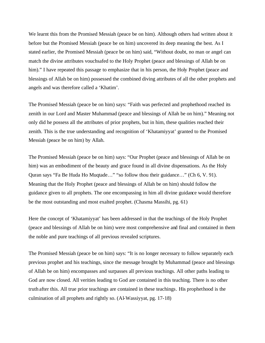We learnt this from the Promised Messiah (peace be on him). Although others had written about it before but the Promised Messiah (peace be on him) uncovered its deep meaning the best. As I stated earlier, the Promised Messiah (peace be on him) said, "Without doubt, no man or angel can match the divine attributes vouchsafed to the Holy Prophet (peace and blessings of Allah be on him)." I have repeated this passage to emphasize that in his person, the Holy Prophet (peace and blessings of Allah be on him) possessed the combined diving attributes of all the other prophets and angels and was therefore called a 'Khatim'.

The Promised Messiah (peace be on him) says: "Faith was perfected and prophethood reached its zenith in our Lord and Master Muhammad (peace and blessings of Allah be on him)." Meaning not only did he possess all the attributes of prior prophets, but in him, these qualities reached their zenith. This is the true understanding and recognition of 'Khatamiyyat' granted to the Promised Messiah (peace be on him) by Allah.

The Promised Messiah (peace be on him) says: "Our Prophet (peace and blessings of Allah be on him) was an embodiment of the beauty and grace found in all divine dispensations. As the Holy Quran says "Fa Be Huda Ho Muqtade…" "so follow thou their guidance…" (Ch 6, V. 91). Meaning that the Holy Prophet (peace and blessings of Allah be on him) should follow the guidance given to all prophets. The one encompassing in him all divine guidance would therefore be the most outstanding and most exalted prophet. (Chasma Massihi, pg. 61)

Here the concept of 'Khatamiyyat' has been addressed in that the teachings of the Holy Prophet (peace and blessings of Allah be on him) were most comprehensive and final and contained in them the noble and pure teachings of all previous revealed scriptures.

The Promised Messiah (peace be on him) says: "It is no longer necessary to follow separately each previous prophet and his teachings, since the message brought by Muhammad (peace and blessings of Allah be on him) encompasses and surpasses all previous teachings. All other paths leading to God are now closed. All verities leading to God are contained in this teaching. There is no other truth after this. All true prior teachings are contained in these teachings. His prophethood is the culmination of all prophets and rightly so. (Al-Wassiyyat, pg. 17-18)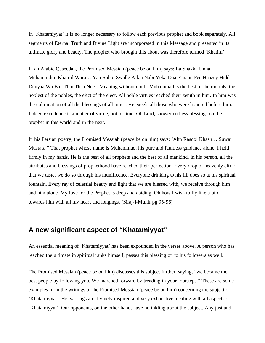In 'Khatamiyyat' it is no longer necessary to follow each previous prophet and book separately. All segments of Eternal Truth and Divine Light are incorporated in this Message and presented in its ultimate glory and beauty. The prophet who brought this about was therefore termed 'Khatim'.

In an Arabic Qaseedah, the Promised Messiah (peace be on him) says: La Shakka Unna Muhammdun Khairul Wara… Yaa Rabbi Swalle A'laa Nabi Yeka Daa-Emann Fee Haazey Hidd Dunyaa Wa Ba'-Thin Thaa Nee - Meaning without doubt Muhammad is the best of the mortals, the noblest of the nobles, the elect of the elect. All noble virtues reached their zenith in him. In him was the culmination of all the blessings of all times. He excels all those who were honored before him. Indeed excellence is a matter of virtue, not of time. Oh Lord, shower endless blessings on the prophet in this world and in the next.

In his Persian poetry, the Promised Messiah (peace be on him) says: 'Ahn Rasool Khash… Suwai Mustafa." That prophet whose name is Muhammad, his pure and faultless guidance alone, I hold firmly in my hands. He is the best of all prophets and the best of all mankind. In his person, all the attributes and blessings of prophethood have reached their perfection. Every drop of heavenly elixir that we taste, we do so through his munificence. Everyone drinking to his fill does so at his spiritual fountain. Every ray of celestial beauty and light that we are blessed with, we receive through him and him alone. My love for the Prophet is deep and abiding. Oh how I wish to fly like a bird towards him with all my heart and longings. (Siraj-i-Munir pg.95-96)

### **A new significant aspect of "Khatamiyyat"**

An essential meaning of 'Khatamiyyat' has been expounded in the verses above. A person who has reached the ultimate in spiritual ranks himself, passes this blessing on to his followers as well.

The Promised Messiah (peace be on him) discusses this subject further, saying, "we became the best people by following you. We marched forward by treading in your footsteps." These are some examples from the writings of the Promised Messiah (peace be on him) concerning the subject of 'Khatamiyyat'. His writings are divinely inspired and very exhaustive, dealing with all aspects of 'Khatamiyyat'. Our opponents, on the other hand, have no inkling about the subject. Any just and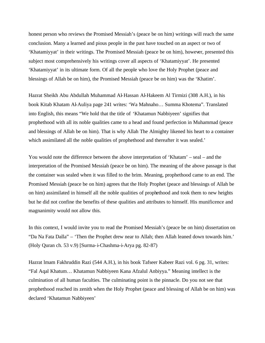honest person who reviews the Promised Messiah's (peace be on him) writings will reach the same conclusion. Many a learned and pious people in the past have touched on an aspect or two of 'Khatamiyyat' in their writings. The Promised Messiah (peace be on him), however, presented this subject most comprehensively his writings cover all aspects of 'Khatamiyyat'. He presented 'Khatamiyyat' in its ultimate form. Of all the people who love the Holy Prophet (peace and blessings of Allah be on him), the Promised Messiah (peace be on him) was the 'Khatim'.

Hazrat Sheikh Abu Abdullah Muhammad Al-Hassan Al-Hakeem Al Tirmizi (308 A.H.), in his book Kitab Khatam Al-Auliya page 241 writes: 'Wa Mahnaho… Summa Khotema". Translated into English, this means "We hold that the title of 'Khatamun Nabbiyeen' signifies that prophethood with all its noble qualities came to a head and found perfection in Muhammad (peace and blessings of Allah be on him). That is why Allah The Almighty likened his heart to a container which assimilated all the noble qualities of prophethood and thereafter it was sealed.'

You would note the difference between the above interpretation of 'Khatam' – seal – and the interpretation of the Promised Messiah (peace be on him). The meaning of the above passage is that the container was sealed when it was filled to the brim. Meaning, prophethood came to an end. The Promised Messiah (peace be on him) agrees that the Holy Prophet (peace and blessings of Allah be on him) assimilated in himself all the noble qualities of prophethood and took them to new heights but he did not confine the benefits of these qualities and attributes to himself. His munificence and magnanimity would not allow this.

In this context, I would invite you to read the Promised Messiah's (peace be on him) dissertation on "Da Na Fata Dalla" – 'Then the Prophet drew near to Allah; then Allah leaned down towards him.' (Holy Quran ch. 53 v.9) [Surma-i-Chashma-i-Arya pg. 82-87)

Hazrat lmam Fakhruddin Razi (544 A.H.), in his book Tafseer Kabeer Razi vol. 6 pg. 31, writes: "Fal Aqal Khatum… Khatamun Nabbiyeen Kana Afzalul Anbiyya." Meaning intellect is the culmination of all human faculties. The culminating point is the pinnacle. Do you not see that prophethood reached its zenith when the Holy Prophet (peace and blessing of Allah be on him) was declared 'Khatamun Nabbiyeen'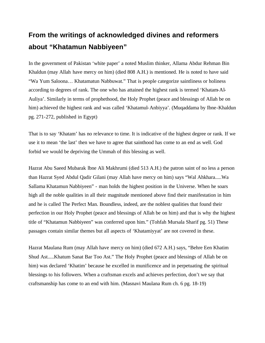## **From the writings of acknowledged divines and reformers about "Khatamun Nabbiyeen"**

In the government of Pakistan 'white paper' a noted Muslim thinker, Allama Abdur Rehman Bin Khaldun (may Allah have mercy on him) (died 808 A.H.) is mentioned. He is noted to have said "Wa Yum Saloona… Khatamatun Nabbuwat." That is people categorize saintliness or holiness according to degrees of rank. The one who has attained the highest rank is termed 'Khatam-Al-Auliya'. Similarly in terms of prophethood, the Holy Prophet (peace and blessings of Allah be on him) achieved the highest rank and was called 'Khatamul-Anbiyya'. (Muqaddama by Ibne-Khaldun pg. 271-272, published in Egypt)

That is to say 'Khatam' has no relevance to time. It is indicative of the highest degree or rank. If we use it to mean 'the last' then we have to agree that sainthood has come to an end as well. God forbid we would be depriving the Ummah of this blessing as well.

Hazrat Abu Saeed Mubarak lbne Ali Makhrumi (died 513 A.H.) the patron saint of no less a person than Hazrat Syed Abdul Qadir Gilani (may Allah have mercy on him) says "Wal Ahkhara.....Wa Sallama Khatamun Nabbiyeen" - man holds the highest position in the Universe. When he soars high all the noble qualities in all their magnitude mentioned above find their manifestation in him and he is called The Perfect Man. Boundless, indeed, are the noblest qualities that found their perfection in our Holy Prophet (peace and blessings of Allah be on him) and that is why the highest title of "Khatamun Nabbiyeen" was conferred upon him." (Tohfah Mursala Sharif pg. 51) These passages contain similar themes but all aspects of 'Khatamiyyat' are not covered in these.

Hazrat Maulana Rum (may Allah have mercy on him) (died 672 A.H.) says, "Behre Een Khatim Shud Ast.....Khatum Sanat Bar Too Ast." The Holy Prophet (peace and blessings of Allah be on him) was declared 'Khatim' because he excelled in munificence and in perpetuating the spiritual blessings to his followers. When a craftsman excels and achieves perfection, don't we say that craftsmanship has come to an end with him. (Masnavi Maulana Rum ch. 6 pg. 18-19)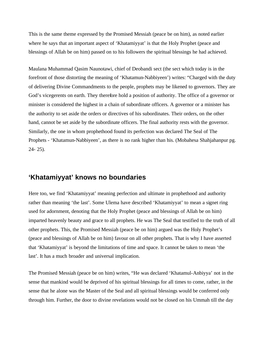This is the same theme expressed by the Promised Messiah (peace be on him), as noted earlier where he says that an important aspect of 'Khatamiyyat' is that the Holy Prophet (peace and blessings of Allah be on him) passed on to his followers the spiritual blessings he had achieved.

Maulana Muhammad Qasim Naunotawi, chief of Deobandi sect (the sect which today is in the forefront of those distorting the meaning of 'Khatamun-Nabbiyeen') writes: "Charged with the duty of delivering Divine Commandments to the people, prophets may be likened to governors. They are God's vicegerents on earth. They therefore hold a position of authority. The office of a governor or minister is considered the highest in a chain of subordinate officers. A governor or a minister has the authority to set aside the orders or directives of his subordinates. Their orders, on the other hand, cannot be set aside by the subordinate officers. The final authority rests with the governor. Similarly, the one in whom prophethood found its perfection was declared The Seal of The Prophets - 'Khatamun-Nabbiyeen', as there is no rank higher than his. (Mobahesa Shahjahanpur pg. 24- 25).

#### **'Khatamiyyat' knows no boundaries**

Here too, we find 'Khatamiyyat' meaning perfection and ultimate in prophethood and authority rather than meaning 'the last'. Some Ulema have described 'Khatamiyyat' to mean a signet ring used for adornment, denoting that the Holy Prophet (peace and blessings of Allah be on him) imparted heavenly beauty and grace to all prophets. He was The Seal that testified to the truth of all other prophets. This, the Promised Messiah (peace be on him) argued was the Holy Prophet's (peace and blessings of Allah be on him) favour on all other prophets. That is why I have asserted that 'Khatamiyyat' is beyond the limitations of time and space. It cannot be taken to mean 'the last'. It has a much broader and universal implication.

The Promised Messiah (peace be on him) writes, "He was declared 'Khatamul-Anbiyya' not in the sense that mankind would be deprived of his spiritual blessings for all times to come, rather, in the sense that he alone was the Master of the Seal and all spiritual blessings would be conferred only through him. Further, the door to divine revelations would not be closed on his Ummah till the day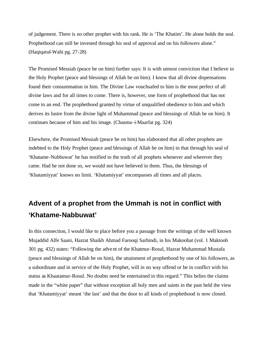of judgement. There is no other prophet with his rank. He is 'The Khatim'. He alone holds the seal. Prophethood can still be invested through his seal of approval and on his followers alone." (Haqiqatul-Wahi pg. 27-28)

The Promised Messiah (peace be on him) further says: It is with utmost conviction that I believe in the Holy Prophet (peace and blessings of Allah be on him). I know that all divine dispensations found their consummation in him. The Divine Law vouchsafed to him is the most perfect of all divine laws and for all times to come. There is, however, one form of prophethood that has not come to an end. The prophethood granted by virtue of unqualified obedience to him and which derives its lustre from the divine light of Muhammad (peace and blessings of Allah be on him). It continues because of him and his image. (Chasma-i-Maarfat pg. 324)

Elsewhere, the Promised Messiah (peace be on him) has elaborated that all other prophets are indebted to the Holy Prophet (peace and blessings of Allah be on him) in that through his seal of 'Khatame-Nubbuwat' he has testified to the truth of all prophets whenever and wherever they came. Had he not done so, we would not have believed in them. Thus, the blessings of 'Khatamiyyat' knows no limit. 'Khatamiyyat' encompasses all times and all places.

## **Advent of a prophet from the Ummah is not in conflict with 'Khatame-Nabbuwat'**

In this connection, I would like to place before you a passage from the writings of the well known Mujaddid Alfe Saani, Hazrat Shaikh Ahmad Farooqi Sarhindi, in his Makoobat (vol. 1 Maktoob 301 pg. 432) states: "Following the advent of the Khatmur-Rosul, Hazrat Muhammad Mustafa (peace and blessings of Allah be on him), the attainment of prophethood by one of his followers, as a subordinate and in service of the Holy Prophet, will in no way offend or be in conflict with his status as Khaatamur-Rosul. No doubts need be entertained in this regard." This belies the claims made in the "white paper" that without exception all holy men and saints in the past held the view that 'Khatamiyyat' meant 'the last' and that the door to all kinds of prophethood is now closed.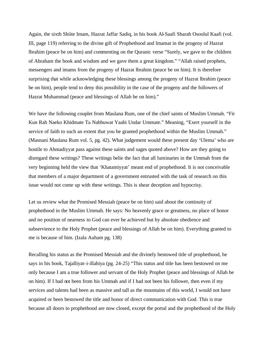Again, the sixth Shiite Imam, Hazrat Jaffar Sadiq, in his book Al-Saafi Sharah Osoolul Kaafi (vol. III, page 119) referring to the divine gift of Prophethood and lmamat in the progeny of Hazrat lbrahim (peace be on him) and commenting on the Quranic verse "Surely, we gave to the children of Abraham the book and wisdom and we gave them a great kingdom." "Allah raised prophets, messengers and imams from the progeny of Hazrat lbrahim (peace be on him). It is therefore surprising that while acknowledging these blessings among the progeny of Hazrat lbrahim (peace be on him), people tend to deny this possibility in the case of the progeny and the followers of Hazrat Muhammad (peace and blessings of Allah be on him)."

We have the following couplet from Maulana Rum, one of the chief saints of Muslim Ummah. "Fir Kun Rah Naeko Khidmate Ta Nabbuwat Yaabi Undar Ummate." Meaning, "Exert yourself in the service of faith to such an extent that you be granted prophethood within the Muslim Ummah." (Masnani Maulana Rum vol. 5, pg. 42). What judgement would these present day 'Ulema' who are hostile to Ahmadiyyat pass against these saints and sages quoted above? How are they going to disregard these writings? These writings belie the fact that all luminaries in the Ummah from the very beginning held the view that 'Khatamiyyat' meant end of prophethood. It is not conceivable that members of a major department of a government entrusted with the task of research on this issue would not come up with these writings. This is shear deception and hypocrisy.

Let us review what the Promised Messiah (peace be on him) said about the continuity of prophethood in the Muslim Ummah. He says: No heavenly grace or greatness, no place of honor and no position of nearness to God can ever be achieved but by absolute obedience and subservience to the Holy Prophet (peace and blessings of Allah be on him). Everything granted to me is because of him. (Izala Auham pg. 138)

Recalling his status as the Promised Messiah and the divinely bestowed title of prophethood, he says in his book, Tajalliyat-i-illahiya (pg. 24-25) "This status and title has been bestowed on me only because I am a true follower and servant of the Holy Prophet (peace and blessings of Allah be on him). If I had not been from his Ummah and if I had not been his follower, then even if my services and talents had been as massive and tall as the mountains of this world, I would not have acquired or been bestowed the title and honor of direct communication with God. This is true because all doors to prophethood are now closed, except the portal and the prophethood of the Holy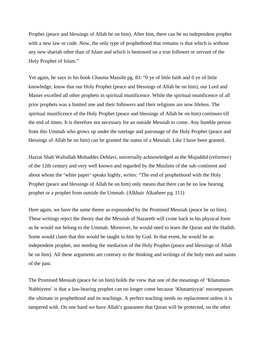Prophet (peace and blessings of Allah be on him). After him, there can be no independent prophet with a new law or code. Now, the only type of prophethood that remains is that which is without any new shariah other than of Islam and which is bestowed on a true follower or servant of the Holy Prophet of Islam."

Yet again, he says in his book Chasma Massihi pg. 83: "0 ye of little faith and 0 ye of little knowledge, know that our Holy Prophet (peace and blessings of Allah be on him), our Lord and Master excelled all other prophets in spiritual munificence. While the spiritual munificence of all prior prophets was a limited one and their followers and their religions are now lifeless. The spiritual munificence of the Holy Prophet (peace and blessings of Allah be on him) continues till the end of times. It is therefore not necessary for an outside Messiah to come. Any humble person from this Ummah who grows up under the tutelage and patronage of the Holy Prophet (peace and blessings of Allah be on him) can be granted the status of a Messiah. Like I have been granted.

Hazrat Shah Waliullah Mohaddes Dehlavi, universally acknowledged as the Mujaddid (reformer) of the 12th century and very well known and regarded by the Muslims of the sub-continent and about whom the 'white paper' speaks highly, writes: "The end of prophethood with the Holy Prophet (peace and blessings of Allah be on him) only means that there can be no law bearing prophet or a prophet from outside the Ummah. (Alkhair Alkatheer pg. 111)

Here again, we have the same theme as expounded by the Promised Messiah (peace be on him). These writings reject the theory that the Messiah of Nazareth will come back in his physical form as he would not belong to the Ummah. Moreover, he would need to learn the Quran and the Hadith. Some would claim that this would be taught to him by God. In that event, he would be an independent prophet, not needing the mediation of the Holy Prophet (peace and blessings of Allah be on him). All these arguments are contrary to the thinking and writings of the holy men and saints of the past.

The Promised Messiah (peace be on him) holds the view that one of the meanings of 'Khatamun-Nabbiyeen' is that a law-bearing prophet can no longer come because 'Khatamiyyat' encompasses the ultimate in prophethood and its teachings. A perfect teaching needs no replacement unless it is tampered with. On one hand we have Allah's guarantee that Quran will be protected, on the other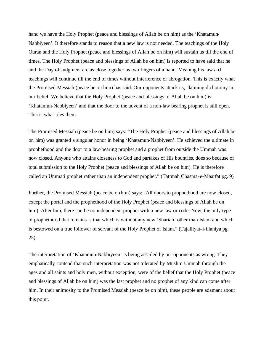hand we have the Holy Prophet (peace and blessings of Allah be on him) as the 'Khatamun-Nabbiyeen'. It therefore stands to reason that a new law is not needed. The teachings of the Holy Quran and the Holy Prophet (peace and blessings of Allah be on him) will sustain us till the end of times. The Holy Prophet (peace and blessings of Allah be on him) is reported to have said that he and the Day of Judgment are as close together as two fingers of a hand. Meaning his law and teachings will continue till the end of times without interference or abrogation. This is exactly what the Promised Messiah (peace be on him) has said. Our opponents attack us, claiming dichotomy in our belief. We believe that the Holy Prophet (peace and blessings of Allah be on him) is 'Khatamun-Nabbiyeen' and that the door to the advent of a non-law bearing prophet is still open. This is what riles them.

The Promised Messiah (peace be on him) says: "The Holy Prophet (peace and blessings of Allah be on him) was granted a singular honor in being 'Khatamun-Nabbiyeen'. He achieved the ultimate in prophethood and the door to a law-bearing prophet and a prophet from outside the Ummah was now closed. Anyone who attains closeness to God and partakes of His bounties, does so because of total submission to the Holy Prophet (peace and blessings of Allah be on him). He is therefore called an Ummati prophet rather than an independent prophet." (Tattmah Chasma-e-Maarfat pg. 9)

Further, the Promised Messiah (peace be on him) says: "All doors to prophethood are now closed, except the portal and the prophethood of the Holy Prophet (peace and blessings of Allah be on him). After him, there can be no independent prophet with a new law or code. Now, the only type of prophethood that remains is that which is without any new 'Shariah' other than Islam and which is bestowed on a true follower of servant of the Holy Prophet of Islam." (Tajalliyat-i-illahiya pg. 25)

The interpretation of 'Khatamun-Nabbiyeen' is being assailed by our opponents as wrong. They emphatically contend that such interpretation was not tolerated by Muslim Ummah through the ages and all saints and holy men, without exception, were of the belief that the Holy Prophet (peace and blessings of Allah be on him) was the last prophet and no prophet of any kind can come after him. In their animosity to the Promised Messiah (peace be on him), these people are adamant about this point.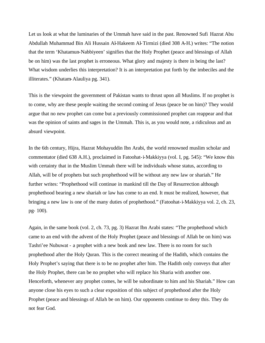Let us look at what the luminaries of the Ummah have said in the past. Renowned Sufi Hazrat Abu Abdullah Muhammad Bin Ali Hussain Al-Hakeem Al-Tirmizi (died 308 A-H.) writes: "The notion that the term 'Khatamun-Nabbiyeen' signifies that the Holy Prophet (peace and blessings of Allah be on him) was the last prophet is erroneous. What glory and majesty is there in being the last? What wisdom underlies this interpretation? It is an interpretation put forth by the imbeciles and the illiterates." (Khatam-Alauliya pg. 341).

This is the viewpoint the government of Pakistan wants to thrust upon all Muslims. If no prophet is to come, why are these people waiting the second coming of Jesus (peace be on him)? They would argue that no new prophet can come but a previously commissioned prophet can reappear and that was the opinion of saints and sages in the Ummah. This is, as you would note, a ridiculous and an absurd viewpoint.

In the 6th century, Hijra, Hazrat Mohayuddin Ibn Arabi, the world renowned muslim scholar and commentator (died 638 A.H.), proclaimed in Fatoohat-i-Makkiyya (vol. I, pg. 545): "We know this with certainty that in the Muslim Ummah there will be individuals whose status, according to Allah, will be of prophets but such prophethood will be without any new law or shariah." He further writes: "Prophethood will continue in mankind till the Day of Resurrection although prophethood bearing a new shariah or law has come to an end. It must be realized, however, that bringing a new law is one of the many duties of prophethood." (Fatoohat-i-Makkiyya vol. 2, ch. 23, pg- 100).

Again, in the same book (vol. 2, ch. 73, pg. 3) Hazrat Ibn Arabi states: "The prophethood which came to an end with the advent of the Holy Prophet (peace and blessings of Allah be on him) was Tashri'ee Nubuwat - a prophet with a new book and new law. There is no room for such prophethood after the Holy Quran. This is the correct meaning of the Hadith, which contains the Holy Prophet's saying that there is to be no prophet after him. The Hadith only conveys that after the Holy Prophet, there can be no prophet who will replace his Sharia with another one. Henceforth, whenever any prophet comes, he will be subordinate to him and his Shariah." How can anyone close his eyes to such a clear exposition of this subject of prophethood after the Holy Prophet (peace and blessings of Allah be on him). Our opponents continue to deny this. They do not fear God.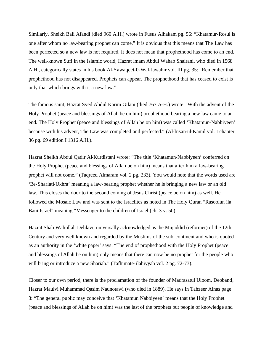Similarly, Sheikh Bali Afandi (died 960 A.H.) wrote in Fusus Alhakam pg. 56: "Khatamur-Rosul is one after whom no law-bearing prophet can come." It is obvious that this means that The Law has been perfected so a new law is not required. It does not mean that prophethood has come to an end. The well-known Sufi in the Islamic world, Hazrat lmam Abdul Wahab Shairani, who died in 1568 A.H., categorically states in his book Al-Yawaqeet-0-Wal-Jawahir vol. III pg. 35: "Remember that prophethood has not disappeared. Prophets can appear. The prophethood that has ceased to exist is only that which brings with it a new law."

The famous saint, Hazrat Syed Abdul Karim Gilani (died 767 A-H.) wrote: 'With the advent of the Holy Prophet (peace and blessings of Allah be on him) prophethood bearing a new law came to an end. The Holy Prophet (peace and blessings of Allah be on him) was called 'Khatamun-Nabbiyeen' because with his advent, The Law was completed and perfected." (Al-lnsan-ul-Kamil vol. I chapter 36 pg. 69 edition I 1316 A.H.).

Hazrat Sheikh Abdul Qadir Al-Kurdistani wrote: "The title 'Khatamun-Nabbiyeen' conferred on the Holy Prophet (peace and blessings of Allah be on him) means that after him a law-bearing prophet will not come." (Taqreed Almaram vol. 2 pg. 233). You would note that the words used are 'Be-Shariati-Ukhra' meaning a law-bearing prophet whether he is bringing a new law or an old law. This closes the door to the second coming of Jesus Christ (peace be on him) as well. He followed the Mosaic Law and was sent to the Israelites as noted in The Holy Quran "Rasoolun ila Bani Israel" meaning "Messenger to the children of Israel (ch. 3 v. 50)

Hazrat Shah Waliullah Dehlavi, universally acknowledged as the Mujaddid (reformer) of the 12th Century and very well known and regarded by the Muslims of the sub-continent and who is quoted as an authority in the 'white paper' says: "The end of prophethood with the Holy Prophet (peace and blessings of Allah be on him) only means that there can now be no prophet for the people who will bring or introduce a new Shariah." (Tafhimate-ilahiyyah vol. 2 pg. 72-73).

Closer to our own period, there is the proclamation of the founder of Madrasatul Uloom, Deoband, Hazrat Maulvi Muhammad Qasim Naunotawi (who died in 1889). He says in Tahzeer Alnas page 3: "The general public may conceive that 'Khatamun Nabbiyeen' means that the Holy Prophet (peace and blessings of Allah be on him) was the last of the prophets but people of knowledge and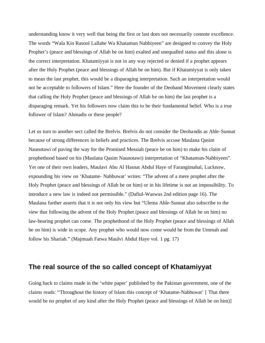understanding know it very well that being the first or last does not necessarily connote excellence. The words "Wala Kin Rasool Lallahe Wa Khatamun Nabbiyeen" are designed to convey the Holy Prophet's (peace and blessings of Allah be on him) exalted and unequalled status and this alone is the correct interpretation. Khatamiyyat is not in any way rejected or denied if a prophet appears after the Holy Prophet (peace and blessings of Allah be on him). But if Khatamiyyat is only taken to mean the last prophet, this would be a disparaging interpretation. Such an interpretation would not be acceptable to followers of Islam." Here the founder of the Deoband Movement clearly states that calling the Holy Prophet (peace and blessings of Allah be on him) the last prophet is a disparaging remark. Yet his followers now claim this to be their fundamental belief. Who is a true follower of Islam? Ahmadis or these people?

Let us turn to another sect called the Brelvis. Brelvis do not consider the Deobandis as Ahle-Sunnat because of strong differences in beliefs and practices. The Brelvis accuse Maulana Qasim Naunotawi of paving the way for the Promised Messiah (peace be on him) to make his claim of prophethood based on his (Maulana Qasim Naunotawi) interpretation of "Khatamun-Nabbiyeen". Yet one of their own leaders, Maulavi Abu Al Hasnat Abdul Haye of Farangimahal, Lucknow, expounding his view on 'Khatame- Nabbuwat' writes: "The advent of a mere prophet after the Holy Prophet (peace and blessings of Allah be on him) or in his lifetime is not an impossibility. To introduce a new law is indeed not permissible." (Dafiul-Waswas 2nd edition page 16). The Maulana further asserts that it is not only his view but "Ulema Ahle-Sunnat also subscribe to the view that following the advent of the Holy Prophet (peace and blessings of Allah be on him) no law-bearing prophet can come. The prophethood of the Holy Prophet (peace and blessings of Allah be on him) is wide in scope. Any prophet who would now come would be from the Ummah and follow his Shariah." (Majmuah Fatwa Maulvi Abdul Haye vol. 1 pg. 17)

#### **The real source of the so called concept of Khatamiyyat**

Going back to claims made in the 'white paper' published by the Pakistan government, one of the claims reads: "Throughout the history of Islam this concept of 'Khatame-Nabbuwat' [ That there would be no prophet of any kind after the Holy Prophet (peace and blessings of Allah be on him)]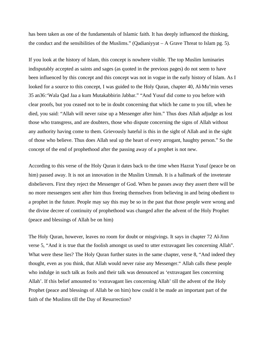has been taken as one of the fundamentals of Islamic faith. It has deeply influenced the thinking, the conduct and the sensibilities of the Muslims." (Qadianiyyat  $- A$  Grave Threat to Islam pg. 5).

If you look at the history of Islam, this concept is nowhere visible. The top Muslim luminaries indisputably accepted as saints and sages (as quoted in the previous pages) do not seem to have been influenced by this concept and this concept was not in vogue in the early history of Islam. As I looked for a source to this concept, I was guided to the Holy Quran, chapter 40, Al-Mu'min verses 35 an36:'Wala Qad Jaa a kum Mutakabbirin Jabbar." "And Yusuf did come to you before with clear proofs, but you ceased not to be in doubt concerning that which he came to you till, when he died, you said: "Allah will never raise up a Messenger after him." Thus does Allah adjudge as lost those who transgress, and are doubters, those who dispute concerning the signs of Allah without any authority having come to them. Grievously hateful is this in the sight of Allah and in the sight of those who believe. Thus does Allah seal up the heart of every arrogant, haughty person." So the concept of the end of prophethood after the passing away of a prophet is not new.

According to this verse of the Holy Quran it dates back to the time when Hazrat Yusuf (peace be on him) passed away. It is not an innovation in the Muslim Ummah. It is a hallmark of the inveterate disbelievers. First they reject the Messenger of God. When he passes away they assert there will be no more messengers sent after him thus freeing themselves from believing in and being obedient to a prophet in the future. People may say this may be so in the past that those people were wrong and the divine decree of continuity of prophethood was changed after the advent of the Holy Prophet (peace and blessings of Allah be on him)

The Holy Quran, however, leaves no room for doubt or misgivings. It says in chapter 72 Al-Jinn verse 5, "And it is true that the foolish amongst us used to utter extravagant lies concerning Allah". What were these lies? The Holy Quran further states in the same chapter, verse 8, "And indeed they thought, even as you think, that Allah would never raise any Messenger." Allah calls these people who indulge in such talk as fools and their talk was denounced as 'extravagant lies concerning Allah'. If this belief amounted to 'extravagant lies concerning Allah' till the advent of the Holy Prophet (peace and blessings of Allah be on him) how could it be made an important part of the faith of the Muslims till the Day of Resurrection?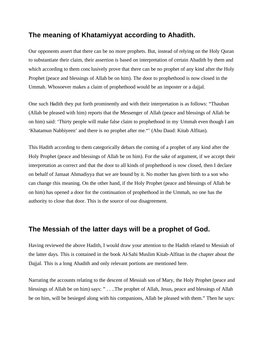### **The meaning of Khatamiyyat according to Ahadith.**

Our opponents assert that there can be no more prophets. But, instead of relying on the Holy Quran to substantiate their claim, their assertion is based on interpretation of certain Ahadith by them and which according to them conc lusively prove that there can be no prophet of any kind after the Holy Prophet (peace and blessings of Allah be on him). The door to prophethood is now closed in the Ummah. Whosoever makes a claim of prophethood would be an imposter or a dajjal.

One such Hadith they put forth prominently and with their interpretation is as follows: "Thauban (Allah be pleased with him) reports that the Messenger of Allah (peace and blessings of Allah be on him) said: 'Thirty people will make false claim to prophethood in my Ummah even though I am 'Khatamun Nabbiyeen' and there is no prophet after me."' (Abu Daud: Kitab Alfitan).

This Hadith according to them categorically debars the coming of a prophet of any kind after the Holy Prophet (peace and blessings of Allah be on him). For the sake of argument, if we accept their interpretation as correct and that the door to all kinds of prophethood is now closed, then I declare on behalf of Jamaat Ahmadiyya that we are bound by it. No mother has given birth to a son who can change this meaning. On the other hand, if the Holy Prophet (peace and blessings of Allah be on him) has opened a door for the continuation of prophethood in the Ummah, no one has the authority to close that door. This is the source of our disagreement.

#### **The Messiah of the latter days will be a prophet of God.**

Having reviewed the above Hadith, I would draw your attention to the Hadith related to Messiah of the latter days. This is contained in the book Al-Sahi Muslim Kitab-Alfitan in the chapter about the Dajjal. This is a long Ahadith and only relevant portions are mentioned here.

Narrating the accounts relating to the descent of Messiah son of Mary, the Holy Prophet (peace and blessings of Allah be on him) says: " . . ..The prophet of Allah, Jesus, peace and blessings of Allah be on him, will be besieged along with his companions, Allah be pleased with them." Then he says: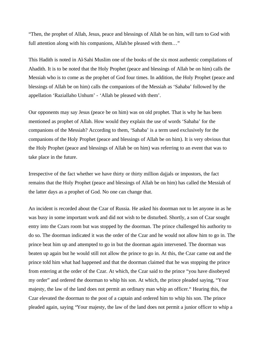"Then, the prophet of Allah, Jesus, peace and blessings of Allah be on him, will turn to God with full attention along with his companions, Allah be pleased with them…"

This Hadith is noted in Al-Sahi Muslim one of the books of the six most authentic compilations of Ahadith. It is to be noted that the Holy Prophet (peace and blessings of Allah be on him) calls the Messiah who is to come as the prophet of God four times. In addition, the Holy Prophet (peace and blessings of Allah be on him) calls the companions of the Messiah as 'Sahaba' followed by the appellation 'Raziallaho Unhum' - 'Allah be pleased with them'.

Our opponents may say Jesus (peace be on him) was on old prophet. That is why he has been mentioned as prophet of Allah. How would they explain the use of words 'Sahaba' for the companions of the Messiah? According to them, 'Sahaba' is a term used exclusively for the companions of the Holy Prophet (peace and blessings of Allah be on him). It is very obvious that the Holy Prophet (peace and blessings of Allah be on him) was referring to an event that was to take place in the future.

Irrespective of the fact whether we have thirty or thirty million dajjals or impostors, the fact remains that the Holy Prophet (peace and blessings of Allah be on him) has called the Messiah of the latter days as a prophet of God. No one can change that.

An incident is recorded about the Czar of Russia. He asked his doorman not to let anyone in as he was busy in some important work and did not wish to be disturbed. Shortly, a son of Czar sought entry into the Czars room but was stopped by the doorman. The prince challenged his authority to do so. The doorman indicated it was the order of the Czar and he would not allow him to go in. The prince beat him up and attempted to go in but the doorman again intervened. The doorman was beaten up again but he would still not allow the prince to go in. At this, the Czar came out and the prince told him what had happened and that the doorman claimed that he was stopping the prince from entering at the order of the Czar. At which, the Czar said to the prince "you have disobeyed my order" and ordered the doorman to whip his son. At which, the prince pleaded saying, "Your majesty, the law of the land does not permit an ordinary man whip an officer." Hearing this, the Czar elevated the doorman to the post of a captain and ordered him to whip his son. The prince pleaded again, saying "Your majesty, the law of the land does not permit a junior officer to whip a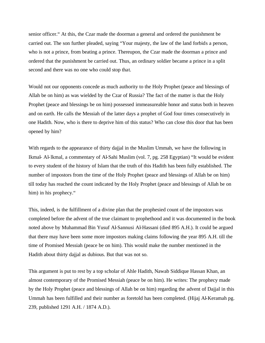senior officer." At this, the Czar made the doorman a general and ordered the punishment be carried out. The son further pleaded, saying "Your majesty, the law of the land forbids a person, who is not a prince, from beating a prince. Thereupon, the Czar made the doorman a prince and ordered that the punishment be carried out. Thus, an ordinary soldier became a prince in a split second and there was no one who could stop that.

Would not our opponents concede as much authority to the Holy Prophet (peace and blessings of Allah be on him) as was wielded by the Czar of Russia? The fact of the matter is that the Holy Prophet (peace and blessings be on him) possessed immeasureable honor and status both in heaven and on earth. He calls the Messiah of the latter days a prophet of God four times consecutively in one Hadith. Now, who is there to deprive him of this status? Who can close this door that has been opened by him?

With regards to the appearance of thirty dajjal in the Muslim Ummah, we have the following in Ikmal- Al-lkmal, a commentary of Al-Sahi Muslim (vol. 7, pg. 258 Egyptian) "It would be evident to every student of the history of Islam that the truth of this Hadith has been fully established. The number of impostors from the time of the Holy Prophet (peace and blessings of Allah be on him) till today has reached the count indicated by the Holy Prophet (peace and blessings of Allah be on him) in his prophecy."

This, indeed, is the fulfillment of a divine plan that the prophesied count of the impostors was completed before the advent of the true claimant to prophethood and it was documented in the book noted above by Muhammad Bin Yusuf Al-Sannusi Al-Hassani (died 895 A.H.). It could be argued that there may have been some more impostors making claims following the year 895 A.H. till the time of Promised Messiah (peace be on him). This would make the number mentioned in the Hadith about thirty dajjal as dubious. But that was not so.

This argument is put to rest by a top scholar of Ahle Hadith, Nawab Siddique Hassan Khan, an almost contemporary of the Promised Messiah (peace be on him). He writes: The prophecy made by the Holy Prophet (peace and blessings of Allah be on him) regarding the advent of Dajjal in this Ummah has been fulfilled and their number as foretold has been completed. (Hijaj Al-Keramah pg. 239, published 1291 A.H. / 1874 A.D.).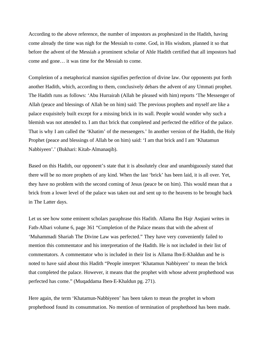According to the above reference, the number of impostors as prophesized in the Hadith, having come already the time was nigh for the Messiah to come. God, in His wisdom, planned it so that before the advent of the Messiah a prominent scholar of Ahle Hadith certified that all impostors had come and gone… it was time for the Messiah to come.

Completion of a metaphorical mansion signifies perfection of divine law. Our opponents put forth another Hadith, which, according to them, conclusively debars the advent of any Ummati prophet. The Hadith runs as follows: 'Abu Hurrairah (Allah be pleased with him) reports 'The Messenger of Allah (peace and blessings of Allah be on him) said: The previous prophets and myself are like a palace exquisitely built except for a missing brick in its wall. People would wonder why such a blemish was not attended to. I am that brick that completed and perfected the edifice of the palace. That is why I am called the 'Khatim' of the messengers.' In another version of the Hadith, the Holy Prophet (peace and blessings of Allah be on him) said: 'I am that brick and I am 'Khatamun Nabbiyeen'.' (Bukhari: Kitab-Almanaqib).

Based on this Hadith, our opponent's state that it is absolutely clear and unambiguously stated that there will be no more prophets of any kind. When the last 'brick' has been laid, it is all over. Yet, they have no problem with the second coming of Jesus (peace be on him). This would mean that a brick from a lower level of the palace was taken out and sent up to the heavens to be brought back in The Latter days.

Let us see how some eminent scholars paraphrase this Hadith. Allama Ibn Hajr Asqiani writes in Fath-Albari volume 6, page 361 "Completion of the Palace means that with the advent of 'Muhammadi Shariah The Divine Law was perfected." They have very conveniently failed to mention this commentator and his interpretation of the Hadith. He is not included in their list of commentators. A commentator who is included in their list is Allama Ibn-E-Khaldun and he is noted to have said about this Hadith "People interpret 'Khatamun Nabbiyeen' to mean the brick that completed the palace. However, it means that the prophet with whose advent prophethood was perfected has come." (Muqaddama Iben-E-Khaldun pg. 271).

Here again, the term 'Khatamun-Nabbiyeen' has been taken to mean the prophet in whom prophethood found its consummation. No mention of termination of prophethood has been made.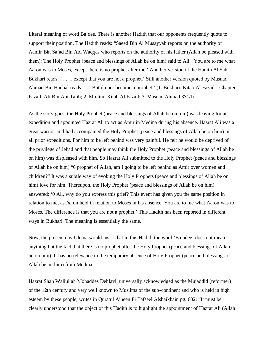Literal meaning of word Ba'dee. There is another Hadith that our opponents frequently quote to support their position. The Hadith reads: "Saeed Bin Al Musayyab reports on the authority of Aamir Bin Sa'ad Bin Abi Waqqas who reports on the authority of his father (Allah be pleased with them): The Holy Prophet (peace and blessings of Allah be on him) said to Ali: 'You are to me what Aaron was to Moses, except there is no prophet after me.' Another ve rsion of the Hadith Al Sahi Bukhari reads: '.....except that you are not a prophet.' Still another version quoted by Masnad Ahmad Bin Hanbal reads: ' …But do not become a prophet.' (1. Bukhari: Kitab Al Fazail - Chapter Fazail, Ali Bin Abi Talib; 2. Muslim: Kitab Al Fazail; 3. Masnad Ahmad 331/l).

As the story goes, the Holy Prophet (peace and blessings of Allah be on him) was leaving for an expedition and appointed Hazrat Ali to act as Amir in Medina during his absence. Hazrat Ali was a great warrior and had accompanied the Holy Prophet (peace and blessings of Allah be on him) in all prior expeditions. For him to be left behind was very painful. He felt he would be deprived of the privilege of Jehad and that people may think the Holy Prophet (peace and blessings of Allah be on him) was displeased with him. So Hazrat Ali submitted to the Holy Prophet (peace and blessings of Allah be on him) "0 prophet of Allah, am I going to be left behind as Amir over women and children?" It was a subtle way of evoking the Holy Prophets (peace and blessings of Allah be on him) love for him. Thereupon, the Holy Prophet (peace and blessings of Allah be on him) answered: '0 Ali, why do you express this grief? This event has given you the same position in relation to me, as Aaron held in relation to Moses in his absence. You are to me what Aaron was to Moses. The difference is that you are not a prophet.' This Hadith has been reported in different ways in Bukhari. The meaning is essentially the same.

Now, the present day Ulema would insist that in this Hadith the word 'Ba'adee' does not mean anything but the fact that there is no prophet after the Holy Prophet (peace and blessings of Allah be on him). It has no relevance to the temporary absence of Holy Prophet (peace and blessings of Allah be on him) from Medina.

Hazrat Shah Waliullah Mohaddes Dehlavi, universally acknowledged as the Mujaddid (reformer) of the 12th century and very well known to Muslims of the sub-continent and who is held in high esteem by these people, writes in Quratul Aineen Fi Tafseel Alshaikhain pg. 602: "It must be clearly understood that the object of this Hadith is to highlight the appointment of Hazrat Ali (Allah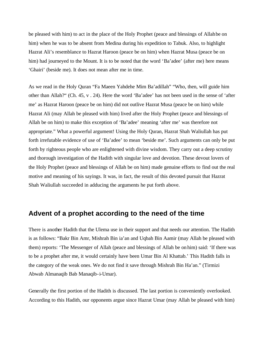be pleased with him) to act in the place of the Holy Prophet (peace and blessings of Allah be on him) when he was to be absent from Medina during his expedition to Tabuk. Also, to highlight Hazrat Ali's resemblance to Hazrat Haroon (peace be on him) when Hazrat Musa (peace be on him) had journeyed to the Mount. It is to be noted that the word 'Ba'adee' (after me) here means 'Ghairi' (beside me). It does not mean after me in time.

As we read in the Holy Quran "Fa Maeen Yahdehe Mim Ba'adillah" "Who, then, will guide him other than Allah?" (Ch. 45, v . 24). Here the word 'Ba'adee' has not been used in the sense of 'after me' as Hazrat Haroon (peace be on him) did not outlive Hazrat Musa (peace be on him) while Hazrat Ali (may Allah be pleased with him) lived after the Holy Prophet (peace and blessings of Allah be on him) to make this exception of 'Ba'adee' meaning 'after me' was therefore not appropriate." What a powerful argument! Using the Holy Quran, Hazrat Shah Waliullah has put forth irrefutable evidence of use of 'Ba'adee' to mean 'beside me'. Such arguments can only be put forth by righteous people who are enlightened with divine wisdom. They carry out a deep scrutiny and thorough investigation of the Hadith with singular love and devotion. These devout lovers of the Holy Prophet (peace and blessings of Allah be on him) made genuine efforts to find out the real motive and meaning of his sayings. It was, in fact, the result of this devoted pursuit that Hazrat Shah Waliullah succeeded in adducing the arguments he put forth above.

#### **Advent of a prophet according to the need of the time**

There is another Hadith that the Ulema use in their support and that needs our attention. The Hadith is as follows: "Bakr Bin Amr, Mishrah Bin ia'an and Uqbah Bin Aamir (may Allah be pleased with them) reports: 'The Messenger of Allah (peace and blessings of Allah be on him) said: 'If there was to be a prophet after me, it would certainly have been Umar Bin Al Khattab.' This Hadith falls in the category of the weak ones. We do not find it save through Mishrah Bin Ha'an." (Tirmizi Abwab Almanaqib Bab Manaqib-i-Umar).

Generally the first portion of the Hadith is discussed. The last portion is conveniently overlooked. According to this Hadith, our opponents argue since Hazrat Umar (may Allah be pleased with him)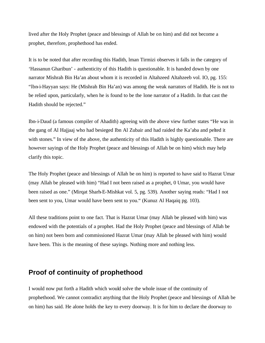lived after the Holy Prophet (peace and blessings of Allah be on him) and did not become a prophet, therefore, prophethood has ended.

It is to be noted that after recording this Hadith, lman Tirmizi observes it falls in the category of 'Hassanun Gharibun' - authenticity of this Hadith is questionable. It is handed down by one narrator Mishrah Bin Ha'an about whom it is recorded in Altahzeed Altahzeeb vol. IO, pg. 155: "lbn-i-Hayyan says: He (Mishrah Bin Ha'an) was among the weak narrators of Hadith. He is not to be relied upon, particularly, when he is found to be the lone narrator of a Hadith. In that cast the Hadith should be rejected."

Ibn-i-Daud (a famous compiler of Ahadith) agreeing with the above view further states "He was in the gang of Al Hajjaaj who had besieged Ibn Al Zubair and had raided the Ka'aba and pelted it with stones." In view of the above, the authenticity of this Hadith is highly questionable. There are however sayings of the Holy Prophet (peace and blessings of Allah be on him) which may help clarify this topic.

The Holy Prophet (peace and blessings of Allah be on him) is reported to have said to Hazrat Umar (may Allah be pleased with him) "Had I not been raised as a prophet, 0 Umar, you would have been raised as one." (Mirqat Sharh-E-Mishkat vol. 5, pg. 539). Another saying reads: "Had I not been sent to you, Umar would have been sent to you." (Kunuz Al Haqaiq pg. 103).

All these traditions point to one fact. That is Hazrat Umar (may Allah be pleased with him) was endowed with the potentials of a prophet. Had the Holy Prophet (peace and blessings of Allah be on him) not been born and commissioned Hazrat Umar (may Allah be pleased with him) would have been. This is the meaning of these sayings. Nothing more and nothing less.

### **Proof of continuity of prophethood**

I would now put forth a Hadith which would solve the whole issue of the continuity of prophethood. We cannot contradict anything that the Holy Prophet (peace and blessings of Allah be on him) has said. He alone holds the key to every doorway. It is for him to declare the doorway to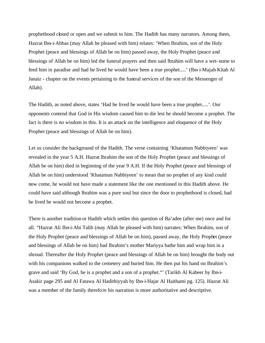prophethood closed or open and we submit to him. The Hadith has many narrators. Among them, Hazrat Ibn-i-Abbas (may Allah be pleased with him) relates: 'When Ibrahim, son of the Holy Prophet (peace and blessings of Allah be on him) passed away, the Holy Prophet (peace and blessings of Allah be on him) led the funeral prayers and then said lbrahim will have a wet-nurse to feed him in paradise and had he lived he would have been a true prophet.....' (Ibn-i-Majah-Kitab Al Janaiz - chapter on the events pertaining to the funeral services of the son of the Messenger of Allah).

The Hadith, as noted above, states 'Had he lived he would have been a true prophet.....'. Our opponents contend that God in His wisdom caused him to die lest he should become a prophet. The fact is there is no wisdom in this. It is an attack on the intelligence and eloquence of the Holy Prophet (peace and blessings of Allah be on him).

Let us consider the background of the Hadith. The verse containing 'Khatamun Nabbiyeen' was revealed in the year 5 A.H. Hazrat lbrahim the son of the Holy Prophet (peace and blessings of Allah be on him) died in beginning of the year 9 A.H. If the Holy Prophet (peace and blessings of Allah be on him) understood 'Khatamun Nabbiyeen' to mean that no prophet of any kind could now come, he would not have made a statement like the one mentioned in this Hadith above. He could have said although lbrahim was a pure soul but since the door to prophethood is closed, had he lived he would not become a prophet.

There is another tradition or Hadith which settles this question of Ba'adee (after me) once and for all. "Hazrat Ali Ibn-i-Abi Talib (may Allah be pleased with him) narrates: When lbrahim, son of the Holy Prophet (peace and blessings of Allah be on him), passed away, the Holy Prophet (peace and blessings of Allah be on him) had Ibrahim's mother Mariyya bathe him and wrap him in a shroud. Thereafter the Holy Prophet (peace and blessings of Allah be on him) brought the body out with his companions walked to the cemetery and buried him. He then put his hand on Ibrahim's grave and said 'By God, he is a prophet and a son of a prophet."' (Tarikh Al Kabeer by Ibn-i-Asakir page 295 and Al Fatawa Al Hadithiyyah by Ibn-i-Hajar Al Haithami pg. 125). Hazrat Ali was a member of the family therefore his narration is more authoritative and descriptive.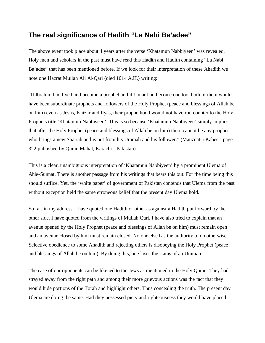### **The real significance of Hadith "La Nabi Ba'adee"**

The above event took place about 4 years after the verse 'Khatamun Nabbiyeen' was revealed. Holy men and scholars in the past must have read this Hadith and Hadith containing "La Nabi Ba'adee" that has been mentioned before. If we look for their interpretation of these Ahadith we note one Hazrat Mullah Ali Al-Qari (died 1014 A.H.) writing:

"If lbrahim had lived and become a prophet and if Umar had become one too, both of them would have been subordinate prophets and followers of the Holy Prophet (peace and blessings of Allah be on him) even as Jesus, Khizar and Ilyas, their prophethood would not have run counter to the Holy Prophets title 'Khatamun Nabbiyeen'. This is so because 'Khatamun Nabbiyeen' simply implies that after the Holy Prophet (peace and blessings of Allah be on him) there cannot be any prophet who brings a new Shariah and is not from his Ummah and his follower." (Mauznat-i-Kabeeri page 322 published by Quran Mahal, Karachi - Pakistan).

This is a clear, unambiguous interpretation of 'Khatamun Nabbiyeen' by a prominent Ulema of Ahle-Sunnat. There is another passage from his writings that bears this out. For the time being this should suffice. Yet, the 'white paper' of government of Pakistan contends that Ulema from the past without exception held the same erroneous belief that the present day Ulema hold.

So far, in my address, I have quoted one Hadith or other as against a Hadith put forward by the other side. I have quoted from the writings of Mullah Qari. I have also tried to explain that an avenue opened by the Holy Prophet (peace and blessings of Allah be on him) must remain open and an avenue closed by him must remain closed. No one else has the authority to do otherwise. Selective obedience to some Ahadith and rejecting others is disobeying the Holy Prophet (peace and blessings of Allah be on him). By doing this, one loses the status of an Ummati.

The case of our opponents can be likened to the Jews as mentioned in the Holy Quran. They had strayed away from the right path and among their more grievous actions was the fact that they would hide portions of the Torah and highlight others. Thus concealing the truth. The present day Ulema are doing the same. Had they possessed piety and righteousness they would have placed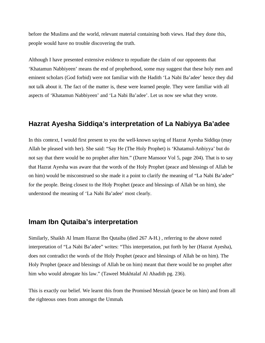before the Muslims and the world, relevant material containing both views. Had they done this, people would have no trouble discovering the truth.

Although I have presented extensive evidence to repudiate the claim of our opponents that 'Khatamun Nabbiyeen' means the end of prophethood, some may suggest that these holy men and eminent scholars (God forbid) were not familiar with the Hadith 'La Nabi Ba'adee' hence they did not talk about it. The fact of the matter is, these were learned people. They were familiar with all aspects of 'Khatamun Nabbiyeen' and 'La Nabi Ba'adee'. Let us now see what they wrote.

#### **Hazrat Ayesha Siddiqa's interpretation of La Nabiyya Ba'adee**

In this context, I would first present to you the well-known saying of Hazrat Ayesha Siddiqa (may Allah be pleased with her). She said: "Say He (The Holy Prophet) is 'Khatamul-Anbiyya' but do not say that there would be no prophet after him." (Durre Mansoor Vol 5, page 204). That is to say that Hazrat Ayesha was aware that the words of the Holy Prophet (peace and blessings of Allah be on him) would be misconstrued so she made it a point to clarify the meaning of "La Nabi Ba'adee" for the people. Being closest to the Holy Prophet (peace and blessings of Allah be on him), she understood the meaning of 'La Nabi Ba'adee' most clearly.

#### **lmam Ibn Qutaiba's interpretation**

Similarly, Shaikh Al lmam Hazrat Ibn Qutaiba (died 267 A-H.) , referring to the above noted interpretation of "La Nabi Ba'adee" writes: "This interpretation, put forth by her (Hazrat Ayesha), does not contradict the words of the Holy Prophet (peace and blessings of Allah be on him). The Holy Prophet (peace and blessings of Allah be on him) meant that there would be no prophet after him who would abrogate his law." (Taweel Mukhtalaf Al Ahadith pg. 236).

This is exactly our belief. We learnt this from the Promised Messiah (peace be on him) and from all the righteous ones from amongst the Ummah.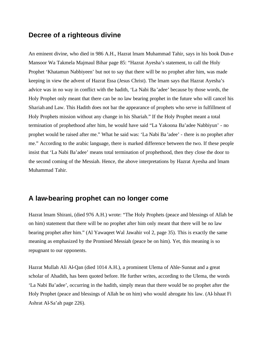#### **Decree of a righteous divine**

An eminent divine, who died in 986 A.H., Hazrat lmam Muhammad Tahir, says in his book Dun-e Mansoor Wa Takmela Majmaul Bihar page 85: "Hazrat Ayesha's statement, to call the Holy Prophet 'Khatamun Nabbiyeen' but not to say that there will be no prophet after him, was made keeping in view the advent of Hazrat Essa (Jesus Christ). The lmam says that Hazrat Ayesha's advice was in no way in conflict with the hadith, 'La Nabi Ba 'adee' because by those words, the Holy Prophet only meant that there can be no law bearing prophet in the future who will cancel his Shariah and Law. This Hadith does not bar the appearance of prophets who serve in fulfillment of Holy Prophets mission without any change in his Shariah." If the Holy Prophet meant a total termination of prophethood after him, he would have said "La Yakoona Ba'adee Nabbiyun' - no prophet would be raised after me." What he said was: 'La Nabi Ba 'adee' - there is no prophet after me." According to the arabic language, there is marked difference between the two. If these people insist that 'La Nabi Ba'adee' means total termination of prophethood, then they close the door to the second coming of the Messiah. Hence, the above interpretations by Hazrat Ayesha and lmam Muhammad Tahir.

### **A law-bearing prophet can no longer come**

Hazrat lmam Shirani, (died 976 A.H.) wrote: "The Holy Prophets (peace and blessings of Allah be on him) statement that there will be no prophet after him only meant that there will be no law bearing prophet after him." (Al Yawaqeet Wal Jawahir vol 2, page 35). This is exactly the same meaning as emphasized by the Promised Messiah (peace be on him). Yet, this meaning is so repugnant to our opponents.

Hazrat Mullah Ali Al-Qan (died 1014 A.H.), a prominent Ulema of Ahle-Sunnat and a great scholar of Ahadith, has been quoted before. He further writes, according to the Ulema, the words 'La Nabi Ba'adee', occurring in the hadith, simply mean that there would be no prophet after the Holy Prophet (peace and blessings of Allah be on him) who would abrogate his law. (Al-lshaat Fi Ashrat Al-Sa'ah page 226).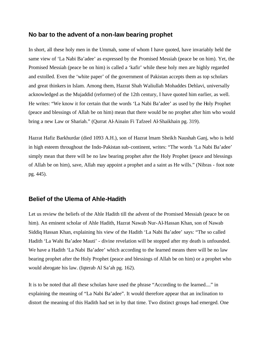#### **No bar to the advent of a non-law bearing prophet**

In short, all these holy men in the Ummah, some of whom I have quoted, have invariably held the same view of 'La Nabi Ba'adee' as expressed by the Promised Messiah (peace be on him). Yet, the Promised Messiah (peace be on him) is called a 'kafir' while these holy men are highly regarded and extolled. Even the 'white paper' of the government of Pakistan accepts them as top scholars and great thinkers in Islam. Among them, Hazrat Shah Waliullah Mohaddes Dehlavi, universally acknowledged as the Mujaddid (reformer) of the 12th century, I have quoted him earlier, as well. He writes: "We know it for certain that the words 'La Nabi Ba'adee' as used by the Holy Prophet (peace and blessings of Allah be on him) mean that there would be no prophet after him who would bring a new Law or Shariah." (Qurrat Al-Ainain Fi Tafzeel Al-Shaikhain pg. 319).

Hazrat Hafiz Barkhurdar (died 1093 A.H.), son of Hazrat lmam Sheikh Naushah Ganj, who is held in high esteem throughout the Indo-Pakistan sub-continent, writes: "The words 'La Nabi Ba'adee' simply mean that there will be no law bearing prophet after the Holy Prophet (peace and blessings of Allah be on him), save, Allah may appoint a prophet and a saint as He wills." (Nibras - foot note pg. 445).

#### **Belief of the Ulema of Ahle-Hadith**

Let us review the beliefs of the Ahle Hadith till the advent of the Promised Messiah (peace be on him). An eminent scholar of Ahle Hadith, Hazrat Nawab Nur-Al-Hassan Khan, son of Nawab Siddiq Hassan Khan, explaining his view of the Hadith 'La Nabi Ba'adee' says: "The so called Hadith 'La Wahi Ba'adee Mauti' - divine revelation will be stopped after my death is unfounded. We have a Hadith 'La Nabi Ba'adee' which according to the learned means there will be no law bearing prophet after the Holy Prophet (peace and blessings of Allah be on him) or a prophet who would abrogate his law. (Iqterab Al Sa'ah pg. 162).

It is to be noted that all these scholars have used the phrase "According to the learned...." in explaining the meaning of "La Nabi Ba'adee". It would therefore appear that an inclination to distort the meaning of this Hadith had set in by that time. Two distinct groups had emerged. One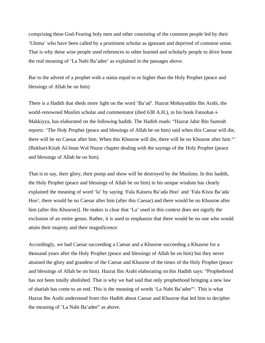comprising these God-Fearing holy men and other consisting of the common people led by their 'Ulema' who have been called by a prominent scholar as ignorant and deprived of common sense. That is why these wise people used references to other learned and scholarly people to drive home the real meaning of 'La Nabi Ba'adee' as explained in the passages above.

Bar to the advent of a prophet with a status equal to or higher than the Holy Prophet (peace and blessings of Allah be on him)

There is a Hadith that sheds more light on the word 'Ba'ad'. Hazrat Mohayuddin Ibn Arabi, the world-renowned Muslim scholar and commentator (died 638 A.H.), in his book Fatoohat-i-Makkiyya, has elaborated on the following hadith. The Hadith reads: "Hazrat Jabir Bin Sumrah reports: 'The Holy Prophet (peace and blessings of Allah be on him) said when this Caesar will die, there will be no Caesar after him. When this Khusroe will die, there will be no Khusroe after him."' (Bukhari-Kitab Al-lman Wal Nuzur chapter dealing with the sayings of the Holy Prophet (peace and blessings of Allah be on him).

That is to say, their glory, their pomp and show will be destroyed by the Muslims. In this hadith, the Holy Prophet (peace and blessings of Allah be on him) in his unique wisdom has clearly explained the meaning of word 'la' by saying 'Fala Kaisera Ba'ada Hoo' and 'Fala Kisra Ba'ada Hoo', there would be no Caesar after him (after this Caesar) and there would be no Khusroe after him (after this Khusroe)]. He makes is clear that 'La' used in this context does not signify the exclusion of an entire genus. Rather, it is used to emphasize that there would be no one who would attain their majesty and their magnificence.

Accordingly, we had Caesar succeeding a Caesar and a Khusroe succeeding a Khusroe for a thousand years after the Holy Prophet (peace and blessings of Allah be on him) but they never attained the glory and grandeur of the Caesar and Khusroe of the times of the Holy Prophet (peace and blessings of Allah be on him). Hazrat Ibn Arabi elaborating on this Hadith says: "Prophethood has not been totally abolished. That is why we had said that only prophethood bringing a new law of shariah has come to an end. This is the meaning of words 'La Nabi Ba'adee"'. This is what Hazrat Ibn Arabi understood from this Hadith about Caesar and Khusroe that led him to decipher the meaning of 'La Nabi Ba'adee" as above.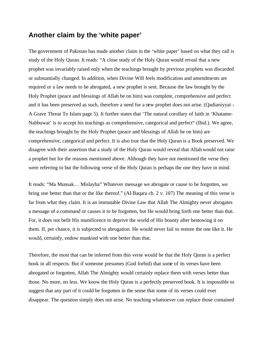#### **Another claim by the 'white paper'**

The government of Pakistan has made another claim in the 'white paper' based on what they call is study of the Holy Quran. It reads: "A close study of the Holy Quran would reveal that a new prophet was invariably raised only when the teachings brought by previous prophets was discarded or substantially changed. In addition, when Divine Will feels modification and amendments are required or a law needs to be abrogated, a new prophet is sent. Because the law brought by the Holy Prophet (peace and blessings of Allah be on him) was complete, comprehensive and perfect and it has been preserved as such, therefore a need for a new prophet does not arise. (Qadianiyyat - A Grave Threat To Islam page 5). It further states that 'The natural corollary of faith in 'Khatame-Nabbuwat' is to accept his teachings as comprehensive, categorical and perfect" (Ibid.). We agree, the teachings brought by the Holy Prophet (peace and blessings of Allah be on him) are comprehensive, categorical and perfect. It is also true that the Holy Quran is a Book preserved. We disagree with their assertion that a study of the Holy Quran would reveal that Allah would not raise a prophet but for the reasons mentioned above. Although they have not mentioned the verse they were referring to but the following verse of the Holy Quran is perhaps the one they have in mind.

It reads: "Ma Munsak… Mislayha" Whatever message we abrogate or cause to be forgotten, we bring one better than that or the like thereof." (Al-Baqara ch. 2 v. 107) The meaning of this verse is far from what they claim. It is an immutable Divine Law that Allah The Almighty never abrogates a message of a command or causes it to be forgotten, but He would bring forth one better than that. For, it does not befit His munificence to deprive the world of His bounty after bestowing it on them. If, per chance, it is subjected to abrogation. He would never fail to restore the one like it. He would, certainly, endow mankind with one better than that.

Therefore, the most that can be inferred from this verse would be that the Holy Quran is a perfect book in all respects. But if someone presumes (God forbid) that some of its verses have been abrogated or forgotten, Allah The Almighty would certainly replace them with verses better than those. No more, no less. We know the Holy Quran is a perfectly preserved book. It is impossible to suggest that any part of it could be forgotten in the sense that some of its verses could ever disappear. The question simply does not arise. No teaching whatsoever can replace those contained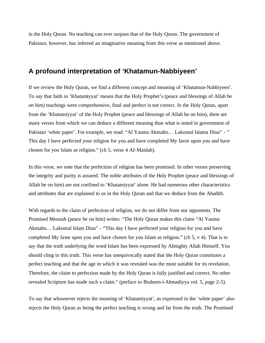in the Holy Quran. No teaching can ever surpass that of the Holy Quran. The government of Pakistan, however, has inferred an imaginative meaning from this verse as mentioned above.

#### **A profound interpretation of 'Khatamun-Nabbiyeen'**

If we review the Holy Quran, we find a different concept and meaning of 'Khatamun-Nabbiyeen'. To say that faith in 'Khatamiyyat' means that the Holy Prophet's (peace and blessings of Allah be on him) teachings were comprehensive, final and perfect is not correct. In the Holy Quran, apart from the 'Khatamiyyat' of the Holy Prophet (peace and blessings of Allah be on him), there are many verses from which we can deduce a different meaning than what is noted in government of Pakistan 'white paper'. For example, we read: "Al Yauma Akmalto... Lakomul Islama Dina" - " This day I have perfected your religion for you and have completed My favor upon you and have chosen for you Islam as religion." (ch 5, verse 4 AI-Maidah).

In this verse, we note that the perfection of religion has been promised. In other verses preserving the integrity and purity is assured. The noble attributes of the Holy Prophet (peace and blessings of Allah be on him) are not confined to 'Khatamiyyat' alone. He had numerous other characteristics and attributes that are explained to us in the Holy Quran and that we deduce from the Ahadith.

With regards to the claim of perfection of religion, we do not differ from our opponents. The Promised Messiah (peace be on him) writes: "The Holy Quran makes this claim "Al Yauma Akmalto… Lakomul Islam Dina" - "This day I have perfected your religion for you and have completed My favor upon you and have chosen for you Islam as religion." (ch 5, v 4). That is to say that the truth underlying the word Islam has been expressed by Almighty Allah Himself. You should cling to this truth. This verse has unequivocally stated that the Holy Quran constitutes a perfect teaching and that the age in which it was revealed was the most suitable for its revelation. Therefore, the claim to perfection made by the Holy Quran is fully justified and correct. No other revealed Scripture has made such a claim." (preface to Braheen-i-Ahmadiyya vol. 5, page 2-5).

To say that whosoever rejects the meaning of 'Khatamiyyat', as expressed in the 'white paper' also rejects the Holy Quran as being the perfect teaching is wrong and far from the truth. The Promised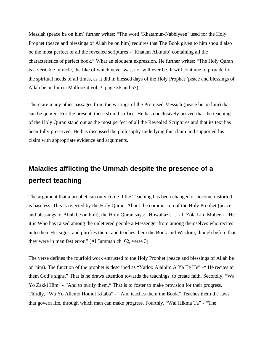Messiah (peace be on him) further writes: "The word 'Khatamun-Nabbiyeen' used for the Holy Prophet (peace and blessings of Allah be on him) requires that The Book given to him should also be the most perfect of all the revealed scriptures -' Khatam Alkutub' containing all the characteristics of perfect book." What an eloquent expression. He further writes: "The Holy Quran is a veritable miracle, the like of which never was, nor will ever be. It will continue to provide for the spiritual needs of all times, as it did in blessed days of the Holy Prophet (peace and blessings of Allah be on him). (Malfoozat vol. 3, page 36 and 57).

There are many other passages from the writings of the Promised Messiah (peace be on him) that can be quoted. For the present, these should suffice. He has conclusively proved that the teachings of the Holy Quran stand out as the most perfect of all the Revealed Scriptures and that its text has been fully preserved. He has discussed the philosophy underlying this claim and supported his claim with appropriate evidence and arguments.

## **Maladies afflicting the Ummah despite the presence of a perfect teaching**

The argument that a prophet can only come if the Teaching has been changed or become distorted is baseless. This is rejected by the Holy Quran. About the commission of the Holy Prophet (peace and blessings of Allah be on him), the Holy Quran says: "Howallazi.....Lafi Zola Lim Mubeen - He it is Who has raised among the unlettered people a Messenger from among themselves who recites unto them His signs, and purifies them, and teaches them the Book and Wisdom, though before that they were in manifest error." (Al Jummah ch. 62, verse 3).

The verse defines the fourfold work entrusted to the Holy Prophet (peace and blessings of Allah be on him). The function of the prophet is described as "Yatloo Alaihim A Ya Te He" -" He recites to them God's signs." That is he draws attention towards the teachings, to create faith. Secondly, "Wa Yo Zakki Him" - "And to purify them." That is to foster to make provision for their progress. Thirdly, "Wa Yo Allemo Homul Kitaba" - "And teaches them the Book." Teaches them the laws that govern life, through which man can make progress. Fourthly, "Wal Hikma Ta" - "The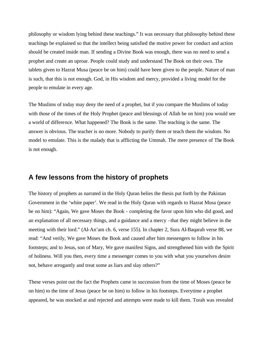philosophy or wisdom lying behind these teachings." It was necessary that philosophy behind these teachings be explained so that the intellect being satisfied the motive power for conduct and action should be created inside man. If sending a Divine Book was enough, there was no need to send a prophet and create an uproar. People could study and understand The Book on their own. The tablets given to Hazrat Musa (peace be on him) could have been given to the people. Nature of man is such, that this is not enough. God, in His wisdom and mercy, provided a living model for the people to emulate in every age.

The Muslims of today may deny the need of a prophet, but if you compare the Muslims of today with those of the times of the Holy Prophet (peace and blessings of Allah be on him) you would see a world of difference. What happened? The Book is the same. The teaching is the same. The answer is obvious. The teacher is no more. Nobody to purify them or teach them the wisdom. No model to emulate. This is the malady that is afflicting the Ummah. The mere presence of The Book is not enough.

#### **A few lessons from the history of prophets**

The history of prophets as narrated in the Holy Quran belies the thesis put forth by the Pakistan Government in the 'white paper'. We read in the Holy Quran with regards to Hazrat Musa (peace be on him): "Again, We gave Moses the Book - completing the favor upon him who did good, and an explanation of all necessary things, and a guidance and a mercy –that they might believe in the meeting with their lord." (Al-An'am ch. 6, verse 155). In chapter 2, Sura Al-Baqarah verse 88, we read: "And verily, We gave Moses the Book and caused after him messengers to follow in his footsteps; and to Jesus, son of Mary, We gave manifest Signs, and strengthened him with the Spirit of holiness. Will you then, every time a messenger comes to you with what you yourselves desire not, behave arrogantly and treat some as liars and slay others?"

These verses point out the fact the Prophets came in succession from the time of Moses (peace be on him) to the time of Jesus (peace be on him) to follow in his footsteps. Everytime a prophet appeared, he was mocked at and rejected and attempts were made to kill them. Torah was revealed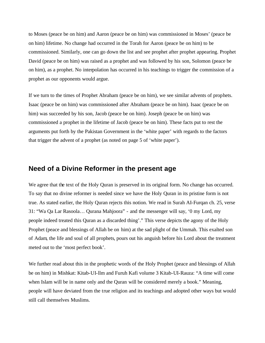to Moses (peace be on him) and Aaron (peace be on him) was commissioned in Moses' (peace be on him) lifetime. No change had occurred in the Torah for Aaron (peace be on him) to be commissioned. Similarly, one can go down the list and see prophet after prophet appearing. Prophet David (peace be on him) was raised as a prophet and was followed by his son, Solomon (peace be on him), as a prophet. No interpolation has occurred in his teachings to trigger the commission of a prophet as our opponents would argue.

If we turn to the times of Prophet Abraham (peace be on him), we see similar advents of prophets. Isaac (peace be on him) was commissioned after Abraham (peace be on him). Isaac (peace be on him) was succeeded by his son, Jacob (peace be on him). Joseph (peace be on him) was commissioned a prophet in the lifetime of Jacob (peace be on him). These facts put to rest the arguments put forth by the Pakistan Government in the 'white paper' with regards to the factors that trigger the advent of a prophet (as noted on page 5 of 'white paper').

#### **Need of a Divine Reformer in the present age**

We agree that the text of the Holy Quran is preserved in its original form. No change has occurred. To say that no divine reformer is needed since we have the Holy Quran in its pristine form is not true. As stated earlier, the Holy Quran rejects this notion. We read in Surah AI-Furqan ch. 25, verse 31: "Wa Qa Lar Rasoola… Qurana Mahjoora" - and the messenger will say, '0 my Lord, my people indeed treated this Quran as a discarded thing'." This verse depicts the agony of the Holy Prophet (peace and blessings of Allah be on him) at the sad plight of the Ummah. This exalted son of Adam, the life and soul of all prophets, pours out his anguish before his Lord about the treatment meted out to the 'most perfect book'.

We further read about this in the prophetic words of the Holy Prophet (peace and blessings of Allah be on him) in Mishkat: Kitab-UI-llm and Furuh Kafi volume 3 Kitab-UI-Rauza: "A time will come when Islam will be in name only and the Quran will be considered merely a book." Meaning, people will have deviated from the true religion and its teachings and adopted other ways but would still call themselves Muslims.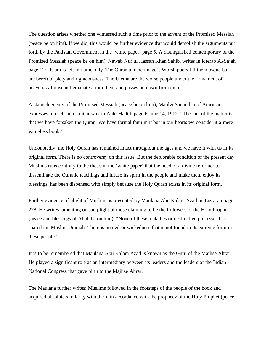The question arises whether one witnessed such a time prior to the advent of the Promised Messiah (peace be on him). If we did, this would be further evidence that would demolish the arguments put forth by the Pakistan Government in the 'white paper' page 5. A distinguished contemporary of the Promised Messiah (peace be on him), Nawab Nur ul Hassan Khan Sahib, writes in lqterab Al-Sa'ah page 12: "Islam is left in name only, The Quran a mere image". Worshippers fill the mosque but are bereft of piety and righteousness. The Ulema are the worse people under the firmament of heaven. All mischief emanates from them and passes on down from them.

A staunch enemy of the Promised Messiah (peace be on him), Maulvi Sanaullah of Amritsar expresses himself in a similar way in Ahle-Hadith page 6 June 14, 1912: "The fact of the matter is that we have forsaken the Quran. We have formal faith in it but in our hearts we consider it a mere valueless book."

Undoubtedly, the Holy Quran has remained intact throughout the ages and we have it with us in its original form. There is no controversy on this issue. But the deplorable condition of the present day Muslims runs contrary to the thesis in the 'white paper' that the need of a divine reformer to disseminate the Quranic teachings and infuse its spirit in the people and make them enjoy its blessings, has been dispensed with simply because the Holy Quran exists in its original form.

Further evidence of plight of Muslims is presented by Maulana Abu Kalam Azad in Tazkirah page 278. He writes lamenting on sad plight of those claiming to be the followers of the Holy Prophet (peace and blessings of Allah be on him): "None of these maladies or destructive processes has spared the Muslim Ummah. There is no evil or wickedness that is not found in its extreme form in these people."

It is to be remembered that Maulana Abu Kalam Azad is known as the Guru of the Majlise Ahrar. He played a significant role as an intermediary between its leaders and the leaders of the Indian National Congress that gave birth to the Majlise Ahrar.

The Maulana further writes: Muslims followed in the footsteps of the people of the book and acquired absolute similarity with them in accordance with the prophecy of the Holy Prophet (peace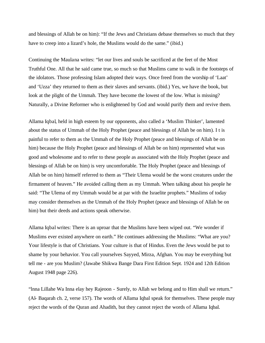and blessings of Allah be on him): "If the Jews and Christians debase themselves so much that they have to creep into a lizard's hole, the Muslims would do the same." (ibid.)

Continuing the Maulana writes: "let our lives and souls be sacrificed at the feet of the Most Truthful One. All that he said came true, so much so that Muslims came to walk in the footsteps of the idolators. Those professing Islam adopted their ways. Once freed from the worship of 'Laat' and 'Uzza' they returned to them as their slaves and servants. (ibid.) Yes, we have the book, but look at the plight of the Ummah. They have become the lowest of the low. What is missing? Naturally, a Divine Reformer who is enlightened by God and would purify them and revive them.

Allama Iqbal, held in high esteem by our opponents, also called a 'Muslim Thinker', lamented about the status of Ummah of the Holy Prophet (peace and blessings of Allah be on him). I t is painful to refer to them as the Ummah of the Holy Prophet (peace and blessings of Allah be on him) because the Holy Prophet (peace and blessings of Allah be on him) represented what was good and wholesome and to refer to these people as associated with the Holy Prophet (peace and blessings of Allah be on him) is very uncomfortable. The Holy Prophet (peace and blessings of Allah be on him) himself referred to them as "Their Ulema would be the worst creatures under the firmament of heaven." He avoided calling them as my Ummah. When talking about his people he said: "The Ulema of my Ummah would be at par with the Israelite prophets." Muslims of today may consider themselves as the Ummah of the Holy Prophet (peace and blessings of Allah be on him) but their deeds and actions speak otherwise.

Allama Iqbal writes: There is an uproar that the Muslims have been wiped out. "We wonder if Muslims ever existed anywhere on earth." He continues addressing the Muslims: "What are you? Your lifestyle is that of Christians. Your culture is that of Hindus. Even the Jews would be put to shame by your behavior. You call yourselves Sayyed, Mirza, Afghan. You may be everything but tell me - are you Muslim? (Jawabe Shikwa Bange Dara First Edition Sept. 1924 and 12th Edition August 1948 page 226).

"lnna Lillahe Wa Inna elay hey Rajeoon - Surely, to Allah we belong and to Him shall we return." (Al- Baqarah ch. 2, verse 157). The words of Allama Iqbal speak for themselves. These people may reject the words of the Quran and Ahadith, but they cannot reject the words of Allama Iqbal.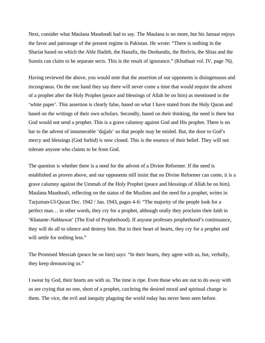Next, consider what Maulana Maudoodi had to say. The Maulana is no more, but his Jamaat enjoys the favor and patronage of the present regime in Pakistan. He wrote: "There is nothing in the Shariat based on which the Ahle Hadith, the Hanafis, the Deobandis, the Brelvis, the Shias and the Sunnis can claim to be separate sects. This is the result of ignorance." (Khutbaat vol. IV, page 76).

Having reviewed the above, you would note that the assertion of our opponents is disingenuous and incongruous. On the one hand they say there will never come a time that would require the advent of a prophet after the Holy Prophet (peace and blessings of Allah be on him) as mentioned in the 'white paper'. This assertion is clearly false, based on what I have stated from the Holy Quran and based on the writings of their own scholars. Secondly, based on their thinking, the need is there but God would not send a prophet. This is a grave calumny against God and His prophet. There is no bar to the advent of innumerable 'dajjals' so that people may be misled. But, the door to God's mercy and blessings (God forbid) is now closed. This is the essence of their belief. They will not tolerate anyone who claims to be from God.

The question is whether there is a need for the advent of a Divine Reformer. If the need is established as proven above, and our opponents still insist that no Divine Reformer can come, it is a grave calumny against the Ummah of the Holy Prophet (peace and blessings of Allah be on him). Maulana Maudoodi, reflecting on the status of the Muslims and the need for a prophet, writes in Tarjuman-Ul-Quran Dec. 1942 / Jan. 1943, pages 4-6: "The majority of the people look for a perfect man… in other words, they cry for a prophet, although orally they proclaim their faith in 'Khatame-Nabbuwat' (The End of Prophethood). If anyone professes prophethood's continuance, they will do all to silence and destroy him. But in their heart of hearts, they cry for a prophet and will settle for nothing less."

The Promised Messiah (peace be on him) says: "In their hearts, they agree with us, but, verbally, they keep denouncing us."

I swear by God, their hearts are with us. The time is ripe. Even those who are out to do away with us are crying that no one, short of a prophet, can bring the desired moral and spiritual change in them. The vice, the evil and inequity plaguing the world today has never been seen before.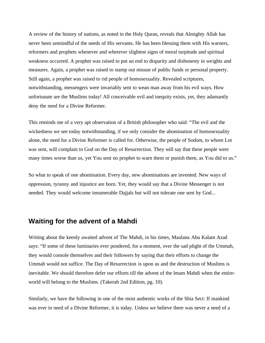A review of the history of nations, as noted in the Holy Quran, reveals that Almighty Allah has never been unmindful of the needs of His servants. He has been blessing them with His warners, reformers and prophets whenever and wherever slightest signs of moral turpitude and spiritual weakness occurred. A prophet was raised to put an end to disparity and dishonesty in weights and measures. Again, a prophet was raised to stamp out misuse of public funds or personal property. Still again, a prophet was raised to rid people of homosexuality. Revealed scriptures, notwithstanding, messengers were invariably sent to wean man away from his evil ways. How unfortunate are the Muslims today! All conceivable evil and inequity exists, yet, they adamantly deny the need for a Divine Reformer.

This reminds me of a very apt observation of a British philosopher who said: "The evil and the wickedness we see today notwithstanding, if we only consider the abomination of homosexuality alone, the need for a Divine Reformer is called for. Otherwise, the people of Sodom, to whom Lot was sent, will complain to God on the Day of Resurrection. They will say that these people were many times worse than us, yet You sent no prophet to warn them or punish them, as You did to us."

So what to speak of one abomination. Every day, new abominations are invented. New ways of oppression, tyranny and injustice are born. Yet, they would say that a Divine Messenger is not needed. They would welcome innumerable Dajjals but will not tolerate one sent by God...

#### **Waiting for the advent of a Mahdi**

Writing about the keenly awaited advent of The Mahdi, in his times, Maulana Abu Kalam Azad says: "If some of these luminaries ever pondered, for a moment, over the sad plight of the Ummah, they would console themselves and their followers by saying that their efforts to change the Ummah would not suffice. The Day of Resurrection is upon us and the destruction of Muslims is inevitable. We should therefore defer our efforts till the advent of the lmam Mahdi when the entireworld will belong to the Muslims. (Takerah 2nd Edition, pg. 10).

Similarly, we have the following in one of the most authentic works of the Shia Sect: If mankind was ever in need of a Divine Reformer, it is today. Unless we believe there was never a need of a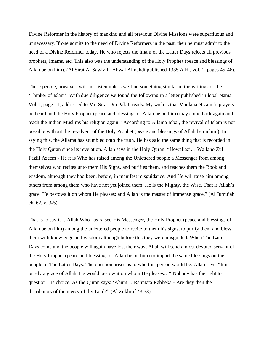Divine Reformer in the history of mankind and all previous Divine Missions were superfluous and unnecessary. If one admits to the need of Divine Reformers in the past, then he must admit to the need of a Divine Reformer today. He who rejects the lmam of the Latter Days rejects all previous prophets, Imams, etc. This also was the understanding of the Holy Prophe t (peace and blessings of Allah be on him). (Al Sirat Al Sawly Fi Ahwal Almahdi published 1335 A.H., vol. 1, pages 45-46).

These people, however, will not listen unless we find something similar in the writings of the 'Thinker of Islam'. With due diligence we found the following in a letter published in lqbal Nama Vol. I, page 41, addressed to Mr. Siraj Din Pal. It reads: My wish is that Maulana Nizami's prayers be heard and the Holy Prophet (peace and blessings of Allah be on him) may come back again and teach the Indian Muslims his religion again." According to Allama Iqbal, the revival of Islam is not possible without the re-advent of the Holy Prophet (peace and blessings of Allah be on him). In saying this, the Allama has stumbled onto the truth. He has said the same thing that is recorded in the Holy Quran since its revelation. Allah says in the Holy Quran: "Howallazi… Wallaho Zul Fazlil Azeem - He it is Who has raised among the Unlettered people a Messenger from among themselves who recites unto them His Signs, and purifies them, and teaches them the Book and wisdom, although they had been, before, in manifest misguidance. And He will raise him among others from among them who have not yet joined them. He is the Mighty, the Wise. That is Allah's grace; He bestows it on whom He pleases; and Allah is the master of immense grace." (Al Jumu'ah ch. 62, v. 3-5).

That is to say it is Allah Who has raised His Messenger, the Holy Prophet (peace and blessings of Allah be on him) among the unlettered people to recite to them his signs, to purify them and bless them with knowledge and wisdom although before this they were misguided. When The Latter Days come and the people will again have lost their way, Allah will send a most devoted servant of the Holy Prophet (peace and blessings of Allah be on him) to impart the same blessings on the people of The Latter Days. The question arises as to who this person would be. Allah says: "It is purely a grace of Allah. He would bestow it on whom He pleases…" Nobody has the right to question His choice. As the Quran says: 'Ahum… Rahmata Rabbeka - Are they then the distributors of the mercy of thy Lord?" (Al Zukhruf 43:33).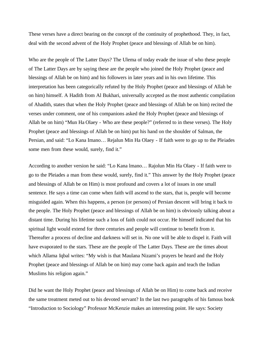These verses have a direct bearing on the concept of the continuity of prophethood. They, in fact, deal with the second advent of the Holy Prophet (peace and blessings of Allah be on him).

Who are the people of The Latter Days? The Ulema of today evade the issue of who these people of The Latter Days are by saying these are the people who joined the Holy Prophet (peace and blessings of Allah be on him) and his followers in later years and in his own lifetime. This interpretation has been categorically refuted by the Holy Prophet (peace and blessings of Allah be on him) himself. A Hadith from Al Bukhari, universally accepted as the most authentic compilation of Ahadith, states that when the Holy Prophet (peace and blessings of Allah be on him) recited the verses under comment, one of his companions asked the Holy Prophet (peace and blessings of Allah be on him) "Mun Ha Olaey - Who are these people?" (referred to in these verses). The Holy Prophet (peace and blessings of Allah be on him) put his hand on the shoulder of Salman, the Persian, and said: "Lo Kana Imano… Rejalun Min Ha Olaey - If faith were to go up to the Pleiades some men from these would, surely, find it."

According to another version he said: "Lo Kana lmano… Rajolun Min Ha Olaey - If faith were to go to the Pleiades a man from these would, surely, find it." This answer by the Holy Prophet (peace and blessings of Allah be on Him) is most profound and covers a lot of issues in one small sentence. He says a time can come when faith will ascend to the stars, that is, people will become misguided again. When this happens, a person (or persons) of Persian descent will bring it back to the people. The Holy Prophet (peace and blessings of Allah be on him) is obviously talking about a distant time. During his lifetime such a loss of faith could not occur. He himself indicated that his spiritual light would extend for three centuries and people will continue to benefit from it. Thereafter a process of decline and darkness will set in. No one will be able to dispel it. Faith will have evaporated to the stars. These are the people of The Latter Days. These are the times about which Allama Iqbal writes: "My wish is that Maulana Nizami's prayers be heard and the Holy Prophet (peace and blessings of Allah be on him) may come back again and teach the Indian Muslims his religion again."

Did he want the Holy Prophet (peace and blessings of Allah be on Him) to come back and receive the same treatment meted out to his devoted servant? In the last two paragraphs of his famous book "Introduction to Sociology" Professor McKenzie makes an interesting point. He says: Society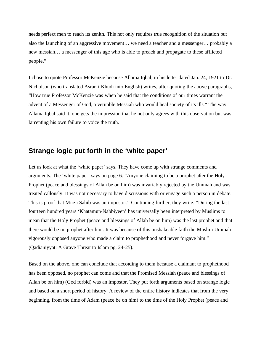needs perfect men to reach its zenith. This not only requires true recognition of the situation but also the launching of an aggressive movement… we need a teacher and a messenger… probably a new messiah… a messenger of this age who is able to preach and propagate to these afflicted people."

I chose to quote Professor McKenzie because Allama Iqbal, in his letter dated Jan. 24, 1921 to Dr. Nicholson (who translated Asrar-i-Khudi into English) writes, after quoting the above paragraphs, "How true Professor McKenzie was when he said that the conditions of our times warrant the advent of a Messenger of God, a veritable Messiah who would heal society of its ills." The way Allama Iqbal said it, one gets the impression that he not only agrees with this observation but was lamenting his own failure to voice the truth.

### **Strange logic put forth in the 'white paper'**

Let us look at what the 'white paper' says. They have come up with strange comments and arguments. The 'white paper' says on page 6: "Anyone claiming to be a prophet after the Holy Prophet (peace and blessings of Allah be on him) was invariably rejected by the Ummah and was treated callously. It was not necessary to have discussions with or engage such a person in debate. This is proof that Mirza Sahib was an impostor." Continuing further, they write: "During the last fourteen hundred years 'Khatamun-Nabbiyeen' has universally been interpreted by Muslims to mean that the Holy Prophet (peace and blessings of Allah be on him) was the last prophet and that there would be no prophet after him. It was because of this unshakeable faith the Muslim Ummah vigorously opposed anyone who made a claim to prophethood and never forgave him." (Qadianiyyat: A Grave Threat to Islam pg. 24-25).

Based on the above, one can conclude that according to them because a claimant to prophethood has been opposed, no prophet can come and that the Promised Messiah (peace and blessings of Allah be on him) (God forbid) was an impostor. They put forth arguments based on strange logic and based on a short period of history. A review of the entire history indicates that from the very beginning, from the time of Adam (peace be on him) to the time of the Holy Prophet (peace and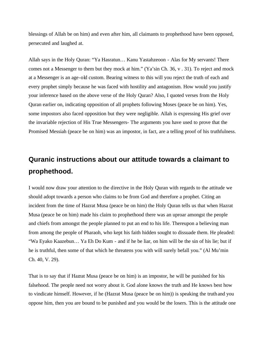blessings of Allah be on him) and even after him, all claimants to prophethood have been opposed, persecuted and laughed at.

Allah says in the Holy Quran: "Ya Hasratun… Kanu Yastahzeoon - Alas for My servants! There comes not a Messenger to them but they mock at him." (Ya'sin Ch. 36, v . 31). To reject and mock at a Messenger is an age-old custom. Bearing witness to this will you reject the truth of each and every prophet simply because he was faced with hostility and antagonism. How would you justify your inference based on the above verse of the Holy Quran? Also, I quoted verses from the Holy Quran earlier on, indicating opposition of all prophets following Moses (peace be on him). Yes, some impostors also faced opposition but they were negligible. Allah is expressing His grief over the invariable rejection of His True Messengers- The arguments you have used to prove that the Promised Messiah (peace be on him) was an impostor, in fact, are a telling proof of his truthfulness.

# **Quranic instructions about our attitude towards a claimant to prophethood.**

I would now draw your attention to the directive in the Holy Quran with regards to the attitude we should adopt towards a person who claims to be from God and therefore a prophet. Citing an incident from the time of Hazrat Musa (peace be on him) the Holy Quran tells us that when Hazrat Musa (peace be on him) made his claim to prophethood there was an uproar amongst the people and chiefs from amongst the people planned to put an end to his life. Thereupon a believing man from among the people of Pharaoh, who kept his faith hidden sought to dissuade them. He pleaded: "Wa Eyako Kaazebun… Ya Eh Do Kum - and if he be liar, on him will be the sin of his lie; but if he is truthful, then some of that which he threatens you with will surely befall you." (Al Mu'min Ch. 40, V. 29).

That is to say that if Hazrat Musa (peace be on him) is an impostor, he will be punished for his falsehood. The people need not worry about it. God alone knows the truth and He knows best how to vindicate himself. However, if he (Hazrat Musa (peace be on him)) is speaking the truth and you oppose him, then you are bound to be punished and you would be the losers. This is the attitude one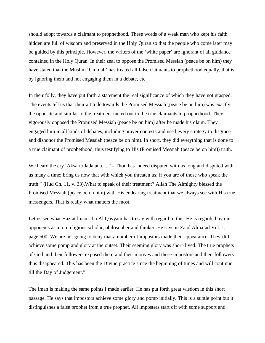should adopt towards a claimant to prophethood. These words of a weak man who kept his faith hidden are full of wisdom and preserved in the Holy Quran so that the people who come later may be guided by this principle. However, the writers of the 'white paper' are ignorant of all guidance contained in the Holy Quran. In their zeal to oppose the Promised Messiah (peace be on him) they have stated that the Muslim 'Ummah' has treated all false claimants to prophethood equally, that is by ignoring them and not engaging them in a debate, etc.

In their folly, they have put forth a statement the real significance of which they have not grasped. The events tell us that their attitude towards the Promised Messiah (peace be on him) was exactly the opposite and similar to the treatment meted out to the true claimants to prophethood. They vigorously opposed the Promised Messiah (peace be on him) after he made his claim. They engaged him in all kinds of debates, including prayer contests and used every strategy to disgrace and dishonor the Promised Messiah (peace be on him). In short, they did everything that is done to a true claimant of prophethood, thus testifying to His (Promised Messiah (peace be on him)) truth.

We heard the cry 'Aksarta Jadalana....." - Thou has indeed disputed with us long and disputed with us many a time; bring us now that with which you threaten us; if you are of those who speak the truth." (Hud Ch. 11, v. 33).What to speak of their treatment? Allah The Almighty blessed the Promised Messiah (peace be on him) with His endearing treatment that we always see with His true messengers. That is really what matters the most.

Let us see what Hazrat lmam Ibn Al Qayyam has to say with regard to this. He is regarded by our opponents as a top religious scholar, philosopher and thinker. He says in Zaad Alma'ad Vol. 1, page 500: We are not going to deny that a number of impostors made their appearance. They did achieve some pomp and glory at the outset. Their seeming glory was short-lived. The true prophets of God and their followers exposed them and their motives and these impostors and their followers thus disappeared. This has been the Divine practice since the beginning of times and will continue till the Day of Judgement."

The lman is making the same points I made earlier. He has put forth great wisdom in this short passage. He says that impostors achieve some glory and pomp initially. This is a subtle point but it distinguishes a false prophet from a true prophet. All imposters start off with some support and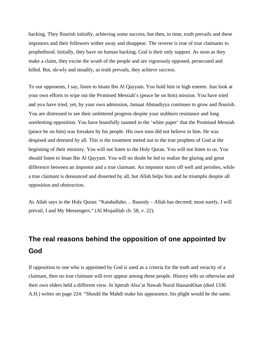backing. They flourish initially, achieving some success, but then, in time, truth prevails and these impostors and their followers wither away and disappear. The reverse is true of true claimants to prophethood. Initially, they have no human backing. God is their only support. As soon as they make a claim, they excite the wrath of the people and are vigorously opposed, persecuted and killed. But, slowly and steadily, as truth prevails, they achieve success.

To our opponents, I say, listen to lmam Ibn Al Qayyam. You hold him in high esteem. Just look at your own efforts to wipe out the Promised Messiah's (peace be on him) mission. You have tried and you have tried, yet, by your own admission, Jamaat Ahmadiyya continues to grow and flourish. You are distressed to see their unfettered progress despite your stubborn resistance and long unrelenting opposition. You have boastfully taunted in the 'white paper' that the Promised Messiah (peace be on him) was forsaken by his people. His own sons did not believe in him. He was despised and detested by all. This is the treatment meted out to the true prophets of God at the beginning of their ministry. You will not listen to the Holy Quran. You will not listen to us. You should listen to lman Ibn Al Qayyam. You will no doubt be led to realize the glaring and great difference between an impostor and a true claimant. An impostor starts off well and perishes, while a true claimant is denounced and disserted by all, but Allah helps him and he triumphs despite all opposition and obstruction.

As Allah says in the Holy Quran: "Kataballaho… Rasooly - Allah has decreed; most surely, I will prevail, I and My Messengers." (Al Mujadilah ch. 58, v. 22).

## **The real reasons behind the opposition of one appointed bv God**

If opposition to one who is appointed by God is used as a criteria for the truth and veracity of a claimant, then no true claimant will ever appear among these people. History tells us otherwise and their own elders held a different view. In lqterab Alsa'at Nawab Nurul HassanKhan (died 1336 A.H.) writes on page 224: "Should the Mahdi make his appearance, his plight would be the same.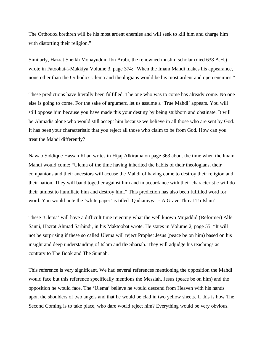The Orthodox brethren will be his most ardent enemies and will seek to kill him and charge him with distorting their religion."

Similarly, Hazrat Sheikh Mohayuddin Ibn Arabi, the renowned muslim scholar (died 638 A.H.) wrote in Fatoohat-i-Makkiya Volume 3, page 374: "When the Imam Mahdi makes his appearance, none other than the Orthodox Ulema and theologians would be his most ardent and open enemies."

These predictions have literally been fulfilled. The one who was to come has already come. No one else is going to come. For the sake of argument, let us assume a 'True Mahdi' appears. You will still oppose him because you have made this your destiny by being stubborn and obstinate. It will be Ahmadis alone who would still accept him because we believe in all those who are sent by God. It has been your characteristic that you reject all those who claim to be from God. How can you treat the Mahdi differently?

Nawab Siddique Hassan Khan writes in Hijaj Alkirama on page 363 about the time when the lmam Mahdi would come: "Ulema of the time having inherited the habits of their theologians, their companions and their ancestors will accuse the Mahdi of having come to destroy their religion and their nation. They will band together against him and in accordance with their characteristic will do their utmost to humiliate him and destroy him." This prediction has also been fulfilled word for word. You would note the 'white paper' is titled 'Qadianiyyat - A Grave Threat To Islam'.

These 'Ulema' will have a difficult time rejecting what the well known Mujaddid (Reformer) Alfe Sanni, Hazrat Ahmad Sarhindi, in his Maktoobat wrote. He states in Volume 2, page 55: "It will not be surprising if these so called Ulema will reject Prophet Jesus (peace be on him) based on his insight and deep understanding of Islam and the Shariah. They will adjudge his teachings as contrary to The Book and The Sunnah.

This reference is very significant. We had several references mentioning the opposition the Mahdi would face but this reference specifically mentions the Messiah, Jesus (peace be on him) and the opposition he would face. The 'Ulema' believe he would descend from Heaven with his hands upon the shoulders of two angels and that he would be clad in two yellow sheets. If this is how The Second Coming is to take place, who dare would reject him? Everything would be very obvious.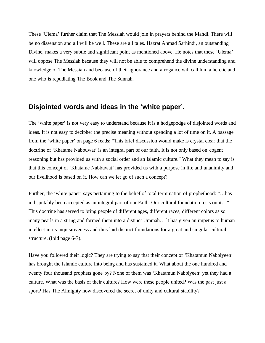These 'Ulema' further claim that The Messiah would join in prayers behind the Mahdi. There will be no dissension and all will be well. These are all tales. Hazrat Ahmad Sarhindi, an outstanding Divine, makes a very subtle and significant point as mentioned above. He notes that these 'Ulema' will oppose The Messiah because they will not be able to comprehend the divine understanding and knowledge of The Messiah and because of their ignorance and arrogance will call him a heretic and one who is repudiating The Book and The Sunnah.

#### **Disjointed words and ideas in the 'white paper'.**

The 'white paper' is not very easy to understand because it is a hodgepodge of disjointed words and ideas. It is not easy to decipher the precise meaning without spending a lot of time on it. A passage from the 'white paper' on page 6 reads: "This brief discussion would make is crystal clear that the doctrine of 'Khatame Nabbuwat' is an integral part of our faith. It is not only based on cogent reasoning but has provided us with a social order and an Islamic culture." What they mean to say is that this concept of 'Khatame Nabbuwat' has provided us with a purpose in life and unanimity and our livelihood is based on it. How can we let go of such a concept?

Further, the 'white paper' says pertaining to the belief of total termination of prophethood: "…has indisputably been accepted as an integral part of our Faith. Our cultural foundation rests on it…" This doctrine has served to bring people of different ages, different races, different colors as so many pearls in a string and formed them into a distinct Ummah… lt has given an impetus to human intellect in its inquisitiveness and thus laid distinct foundations for a great and singular cultural structure. (Ibid page 6-7).

Have you followed their logic? They are trying to say that their concept of 'Khatamun Nabbiyeen' has brought the Islamic culture into being and has sustained it. What about the one hundred and twenty four thousand prophets gone by? None of them was 'Khatamun Nabbiyeen' yet they had a culture. What was the basis of their culture? How were these people united? Was the past just a sport? Has The Almighty now discovered the secret of unity and cultural stability?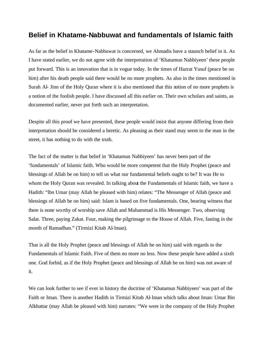#### **Belief in Khatame-Nabbuwat and fundamentals of Islamic faith**

As far as the belief in Khatame-Nabbuwat is concerned, we Ahmadis have a staunch belief in it. As I have stated earlier, we do not agree with the interpretation of 'Khatamun Nabbiyeen' these people put forward. This is an innovation that is in vogue today. In the times of Hazrat Yusuf (peace be on him) after his death people said there would be no more prophets. As also in the times mentioned in Surah Al- Jinn of the Holy Quran where it is also mentioned that this notion of no more prophets is a notion of the foolish people. I have discussed all this earlier on. Their own scholars and saints, as documented earlier, never put forth such an interpretation.

Despite all this proof we have presented, these people would insist that anyone differing from their interpretation should be considered a heretic. As pleasing as their stand may seem to the man in the street, it has nothing to do with the truth.

The fact of the matter is that belief in 'Khatamun Nabbiyeen' has never been part of the 'fundamentals' of Islamic faith. Who would be more competent that the Holy Prophet (peace and blessings of Allah be on him) to tell us what our fundamental beliefs ought to be? It was He to whom the Holy Quran was revealed. In talking about the Fundamentals of Islamic faith, we have a Hadith: "lbn Umar (may Allah be pleased with him) relates: "The Messenger of Allah (peace and blessings of Allah be on him) said: Islam is based on five fundamentals. One, bearing witness that there is none worthy of worship save Allah and Muhammad is His Messenger. Two, observing Salat. Three, paying Zakat. Four, making the pilgrimage to the House of Allah. Five, fasting in the month of Ramadhan." (Tirmizi Kitab Al-lman).

That is all the Holy Prophet (peace and blessings of Allah be on him) said with regards to the Fundamentals of Islamic Faith. Five of them no more no less. Now these people have added a sixth one. God forbid, as if the Holy Prophet (peace and blessings of Allah be on him) was not aware of it.

We can look further to see if ever in history the doctrine of 'Khatamun Nabbiyeen' was part of the Faith or Iman. There is another Hadith in Tirmizi Kitab Al-lman which talks about Iman: Umar Bin Alkhattar (may Allah be pleased with him) narrates: "We were in the company of the Holy Prophet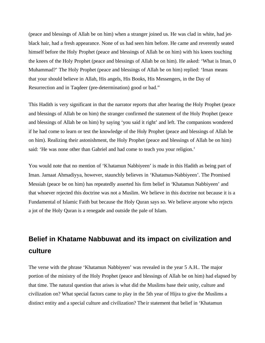(peace and blessings of Allah be on him) when a stranger joined us. He was clad in white, had jetblack hair, had a fresh appearance. None of us had seen him before. He came and reverently seated himself before the Holy Prophet (peace and blessings of Allah be on him) with his knees touching the knees of the Holy Prophet (peace and blessings of Allah be on him). He asked: 'What is Iman, 0 Muhammad?' The Holy Prophet (peace and blessings of Allah be on him) replied: 'Iman means that your should believe in Allah, His angels, His Books, His Messengers, in the Day of Resurrection and in Taqdeer (pre-determination) good or bad."

This Hadith is very significant in that the narrator reports that after hearing the Holy Prophet (peace and blessings of Allah be on him) the stranger confirmed the statement of the Holy Prophet (peace and blessings of Allah be on him) by saying 'you said it right' and left. The companions wondered if he had come to learn or test the knowledge of the Holy Prophet (peace and blessings of Allah be on him). Realizing their astonishment, the Holy Prophet (peace and blessings of Allah be on him) said: 'He was none other than Gabriel and had come to teach you your religion.'

You would note that no mention of 'Khatamun Nabbiyeen' is made in this Hadith as being part of Iman. Jamaat Ahmadiyya, however, staunchly believes in 'Khatamun-Nabbiyeen'. The Promised Messiah (peace be on him) has repeatedly asserted his firm belief in 'Khatamun Nabbiyeen' and that whoever rejected this doctrine was not a Muslim. We believe in this doctrine not because it is a Fundamental of Islamic Faith but because the Holy Quran says so. We believe anyone who rejects a jot of the Holy Quran is a renegade and outside the pale of Islam.

# **Belief in Khatame Nabbuwat and its impact on civilization and culture**

The verse with the phrase 'Khatamun Nabbiyeen' was revealed in the year 5 A.H.. The major portion of the ministry of the Holy Prophet (peace and blessings of Allah be on him) had elapsed by that time. The natural question that arises is what did the Muslims base their unity, culture and civilization on? What special factors came to play in the 5th year of Hijra to give the Muslims a distinct entity and a special culture and civilization? The ir statement that belief in 'Khatamun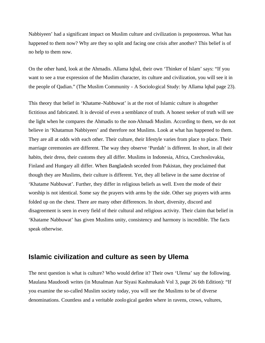Nabbiyeen' had a significant impact on Muslim culture and civilization is preposterous. What has happened to them now? Why are they so split and facing one crisis after another? This belief is of no help to them now.

On the other hand, look at the Ahmadis. Allama Iqbal, their own 'Thinker of Islam' says: "If you want to see a true expression of the Muslim character, its culture and civilization, you will see it in the people of Qadian." (The Muslim Community - A Sociological Study: by Allama lqbal page 23).

This theory that belief in 'Khatame-Nabbuwat' is at the root of Islamic culture is altogether fictitious and fabricated. It is devoid of even a semblance of truth. A honest seeker of truth will see the light when he compares the Ahmadis to the non-Ahmadi Muslim. According to them, we do not believe in 'Khatamun Nabbiyeen' and therefore not Muslims. Look at what has happened to them. They are all at odds with each other. Their culture, their lifestyle varies from place to place. Their marriage ceremonies are different. The way they observe 'Purdah' is different. In short, in all their habits, their dress, their customs they all differ. Muslims in Indonesia, Africa, Czechoslovakia, Finland and Hungary all differ. When Bangladesh seceded from Pakistan, they proclaimed that though they are Muslims, their culture is different. Yet, they all believe in the same doctrine of 'Khatame Nabbuwat'. Further, they differ in religious beliefs as well. Even the mode of their worship is not identical. Some say the prayers with arms by the side. Other say prayers with arms folded up on the chest. There are many other differences. In short, diversity, discord and disagreement is seen in every field of their cultural and religious activity. Their claim that belief in 'Khatame Nabbuwat' has given Muslims unity, consistency and harmony is incredible. The facts speak otherwise.

#### **Islamic civilization and culture as seen by Ulema**

The next question is what is culture? Who would define it? Their own 'Ulema' say the following. Maulana Maudoodi writes (in Musalman Aur Siyasi Kashmakash Vol 3, page 26 6th Edition): "If you examine the so-called Muslim society today, you will see the Muslims to be of diverse denominations. Countless and a veritable zoological garden where in ravens, crows, vultures,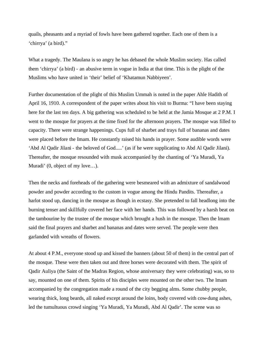quails, pheasants and a myriad of fowls have been gathered together. Each one of them is a 'chirrya' (a bird)."

What a tragedy. The Maulana is so angry he has debased the whole Muslim society. Has called them 'chirrya' (a bird) - an abusive term in vogue in India at that time. This is the plight of the Muslims who have united in 'their' belief of 'Khatamun Nabbiyeen'.

Further documentation of the plight of this Muslim Ummah is noted in the paper Ahle Hadith of April 16, 1910. A correspondent of the paper writes about his visit to Burma: "I have been staying here for the last ten days. A big gathering was scheduled to be held at the Jamia Mosque at 2 P.M. I went to the mosque for prayers at the time fixed for the afternoon prayers. The mosque was filled to capacity. There were strange happenings. Cups full of sharbet and trays full of bananas and dates were placed before the Imam. He constantly raised his hands in prayer. Some audible words were 'Abd Al Qadir Jilani - the beloved of God.....' (as if he were supplicating to Abd Al Qadir Jilani). Thereafter, the mosque resounded with musk accompanied by the chanting of 'Ya Muradi, Ya Muradi' (0, object of my love…).

Then the necks and foreheads of the gathering were besmeared with an admixture of sandalwood powder and powder according to the custom in vogue among the Hindu Pandits. Thereafter, a harlot stood up, dancing in the mosque as though in ecstasy. She pretended to fall headlong into the burning tenser and skillfully covered her face with her hands. This was followed by a harsh beat on the tambourine by the trustee of the mosque which brought a hush in the mosque. Then the lmam said the final prayers and sharbet and bananas and dates were served. The people were then garlanded with wreaths of flowers.

At about 4 P.M., everyone stood up and kissed the banners (about 50 of them) in the central part of the mosque. These were then taken out and three horses were decorated with them. The spirit of Qadir Auliya (the Saint of the Madras Region, whose anniversary they were celebrating) was, so to say, mounted on one of them. Spirits of his disciples were mounted on the other two. The lmam accompanied by the congregation made a round of the city begging alms. Some chubby people, wearing thick, long beards, all naked except around the loins, body covered with cow-dung ashes, led the tumultuous crowd singing 'Ya Muradi, Ya Muradi, Abd Al Qadir'. The scene was so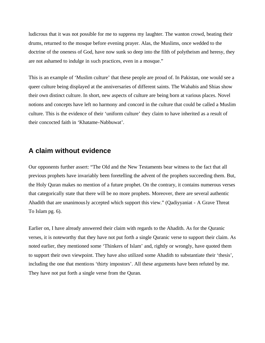ludicrous that it was not possible for me to suppress my laughter. The wanton crowd, beating their drums, returned to the mosque before evening prayer. Alas, the Muslims, once wedded to the doctrine of the oneness of God, have now sunk so deep into the filth of polytheism and heresy, they are not ashamed to indulge in such practices, even in a mosque."

This is an example of 'Muslim culture' that these people are proud of. In Pakistan, one would see a queer culture being displayed at the anniversaries of different saints. The Wahabis and Shias show their own distinct culture. In short, new aspects of culture are being born at various places. Novel notions and concepts have left no harmony and concord in the culture that could be called a Muslim culture. This is the evidence of their 'uniform culture' they claim to have inherited as a result of their concocted faith in 'Khatame-Nabbuwat'.

### **A claim without evidence**

Our opponents further assert: "The Old and the New Testaments bear witness to the fact that all previous prophets have invariably been foretelling the advent of the prophets succeeding them. But, the Holy Quran makes no mention of a future prophet. On the contrary, it contains numerous verses that categorically state that there will be no more prophets. Moreover, there are several authentic Ahadith that are unanimously accepted which support this view." (Qadiyyaniat - A Grave Threat To Islam pg. 6).

Earlier on, I have already answered their claim with regards to the Ahadith. As for the Quranic verses, it is noteworthy that they have not put forth a single Quranic verse to support their claim. As noted earlier, they mentioned some 'Thinkers of Islam' and, rightly or wrongly, have quoted them to support their own viewpoint. They have also utilized some Ahadith to substantiate their 'thesis', including the one that mentions 'thirty impostors'. All these arguments have been refuted by me. They have not put forth a single verse from the Quran.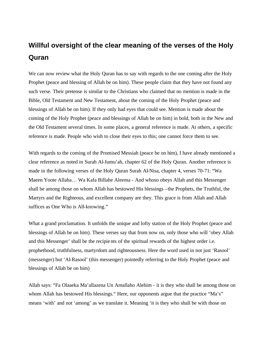# **Willful oversight of the clear meaning of the verses of the Holy Quran**

We can now review what the Holy Quran has to say with regards to the one coming after the Holy Prophet (peace and blessing of Allah be on him). These people claim that they have not found any such verse. Their pretense is similar to the Christians who claimed that no mention is made in the Bible, Old Testament and New Testament, about the coming of the Holy Prophet (peace and blessings of Allah be on him). If they only had eyes that could see. Mention is made about the coming of the Holy Prophet (peace and blessings of Allah be on him) in bold, both in the New and the Old Testament several times. In some places, a general reference is made. At others, a specific reference is made. People who wish to close their eyes to this; one cannot force them to see.

With regards to the coming of the Promised Messiah (peace be on him), I have already mentioned a clear reference as noted in Surah Al-Jumu'ah, chapter 62 of the Holy Quran. Another reference is made in the following verses of the Holy Quran Surah Al-Nisa, chapter 4, verses 70-71: "Wa Maeen Yoote Allaha… Wa Kafa Billahe Aleema - And whoso obeys Allah and this Messenger shall be among those on whom Allah has bestowed His blessings –the Prophets, the Truthful, the Martyrs and the Righteous, and excellent company are they. This grace is from Allah and Allah suffices as One Who is All-knowing."

What a grand proclamation. It unfolds the unique and lofty station of the Holy Prophet (peace and blessings of Allah be on him). These verses say that from now on, only those who will 'obey Allah and this Messenger' shall be the recipients of the spiritual rewards of the highest order i.e. prophethood, truthfulness, martyrdom and righteousness. Here the word used in not just 'Rasool' (messenger) but 'Al-Rasool' (this messenger) pointedly referring to the Holy Prophet (peace and blessings of Allah be on him)

Allah says: "Fa Olaaeka Ma'allazena Un Amallaho Alehim - it is they who shall be among those on whom Allah has bestowed His blessings." Here, our opponents argue that the practice "Ma's" means 'with' and not 'among' as we translate it. Meaning 'it is they who shall be with those on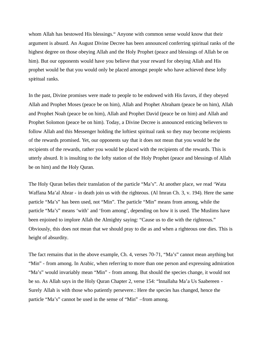whom Allah has bestowed His blessings." Anyone with common sense would know that their argument is absurd. An August Divine Decree has been announced conferring spiritual ranks of the highest degree on those obeying Allah and the Holy Prophet (peace and blessings of Allah be on him). But our opponents would have you believe that your reward for obeying Allah and His prophet would be that you would only be placed amongst people who have achieved these lofty spiritual ranks.

In the past, Divine promises were made to people to be endowed with His favors, if they obeyed Allah and Prophet Moses (peace be on him), Allah and Prophet Abraham (peace be on him), Allah and Prophet Noah (peace be on him), Allah and Prophet David (peace be on him) and Allah and Prophet Solomon (peace be on him). Today, a Divine Decree is announced enticing believers to follow Allah and this Messenger holding the loftiest spiritual rank so they may become recipients of the rewards promised. Yet, our opponents say that it does not mean that you would be the recipients of the rewards, rather you would be placed with the recipients of the rewards. This is utterly absurd. It is insulting to the lofty station of the Holy Prophet (peace and blessings of Allah be on him) and the Holy Quran.

The Holy Quran belies their translation of the particle "Ma's". At another place, we read 'Wata Waffana Ma'al Abrar - in death join us with the righteous. (Al Imran Ch. 3, v. 194). Here the same particle "Ma's" has been used, not "Min". The particle "Min" means from among, while the particle "Ma's" means 'with' and 'from among', depending on how it is used. The Muslims have been enjoined to implore Allah the Almighty saying: "Cause us to die with the righteous." Obviously, this does not mean that we should pray to die as and when a righteous one dies. This is height of absurdity.

The fact remains that in the above example, Ch. 4, verses 70-71, "Ma's" cannot mean anything but "Min" - from among. In Arabic, when referring to more than one person and expressing admiration "Ma's" would invariably mean "Min" - from among. But should the species change, it would not be so. As Allah says in the Holy Quran Chapter 2, verse 154: "lnnallaha Ma'a Us Saabereen - Surely Allah is with those who patiently persevere.: Here the species has changed, hence the particle "Ma's" cannot be used in the sense of "Min" –from among.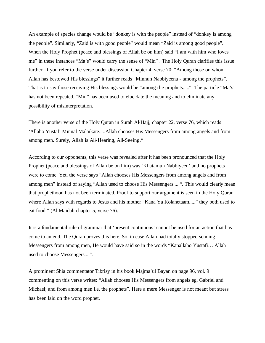An example of species change would be "donkey is with the people" instead of "donkey is among the people". Similarly, "Zaid is with good people" would mean "Zaid is among good people". When the Holy Prophet (peace and blessings of Allah be on him) said "I am with him who loves me" in these instances "Ma's" would carry the sense of "Min" . The Holy Quran clarifies this issue further. If you refer to the verse under discussion Chapter 4, verse 70: "Among those on whom Allah has bestowed His blessings" it further reads "Minnun Nabbiyeena - among the prophets". That is to say those receiving His blessings would be "among the prophets.....". The particle "Ma's" has not been repeated. "Min" has been used to elucidate the meaning and to eliminate any possibility of misinterpretation.

There is another verse of the Holy Quran in Surah Al-Hajj, chapter 22, verse 76, which reads 'Allaho Yustafi Minnal Malaikate.....Allah chooses His Messengers from among angels and from among men. Surely, Allah is All-Hearing, All-Seeing."

According to our opponents, this verse was revealed after it has been pronounced that the Holy Prophet (peace and blessings of Allah be on him) was 'Khatamun Nabbiyeen' and no prophets were to come. Yet, the verse says "Allah chooses His Messengers from among angels and from among men" instead of saying "Allah used to choose His Messengers.....". This would clearly mean that prophethood has not been terminated. Proof to support our argument is seen in the Holy Quran where Allah says with regards to Jesus and his mother "Kana Ya Kolanetaam....." they both used to eat food." (Al-Maidah chapter 5, verse 76).

It is a fundamental rule of grammar that 'present continuous' cannot be used for an action that has come to an end. The Quran proves this here. So, in case Allah had totally stopped sending Messengers from among men, He would have said so in the words "Kanallaho Yustafi… Allah used to choose Messengers....".

A prominent Shia commentator Tibrisy in his book Majma'ul Bayan on page 96, vol. 9 commenting on this verse writes: "Allah chooses His Messengers from angels eg. Gabriel and Michael; and from among men i.e. the prophets". Here a mere Messenger is not meant but stress has been laid on the word prophet.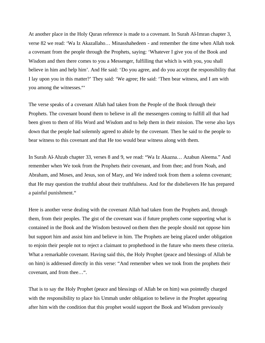At another place in the Holy Quran reference is made to a covenant. In Surah Al-Imran chapter 3, verse 82 we read: 'Wa Iz Akazallaho… Minasshahedeen - and remember the time when Allah took a covenant from the people through the Prophets, saying: 'Whatever I give you of the Book and Wisdom and then there comes to you a Messenger, fulfilling that which is with you, you shall believe in him and help him'. And He said: 'Do you agree, and do you accept the responsibility that I lay upon you in this matter?' They said: 'We agree; He said: 'Then bear witness, and I am with you among the witnesses."'

The verse speaks of a covenant Allah had taken from the People of the Book through their Prophets. The covenant bound them to believe in all the messengers coming to fulfill all that had been given to them of His Word and Wisdom and to help them in their mission. The verse also lays down that the people had solemnly agreed to abide by the covenant. Then he said to the people to bear witness to this covenant and that He too would bear witness along with them.

In Surah Al-Ahzab chapter 33, verses 8 and 9, we read: "Wa Iz Akazna… Azabun Aleema." And remember when We took from the Prophets their covenant, and from thee; and from Noah, and Abraham, and Moses, and Jesus, son of Mary, and We indeed took from them a solemn covenant; that He may question the truthful about their truthfulness. And for the disbelievers He has prepared a painful punishment."

Here is another verse dealing with the covenant Allah had taken from the Prophets and, through them, from their peoples. The gist of the covenant was if future prophets come supporting what is contained in the Book and the Wisdom bestowed on them then the people should not oppose him but support him and assist him and believe in him. The Prophets are being placed under obligation to enjoin their people not to reject a claimant to prophethood in the future who meets these criteria. What a remarkable covenant. Having said this, the Holy Prophet (peace and blessings of Allah be on him) is addressed directly in this verse: "And remember when we took from the prophets their covenant, and from thee…".

That is to say the Holy Prophet (peace and blessings of Allah be on him) was pointedly charged with the responsibility to place his Ummah under obligation to believe in the Prophet appearing after him with the condition that this prophet would support the Book and Wisdom previously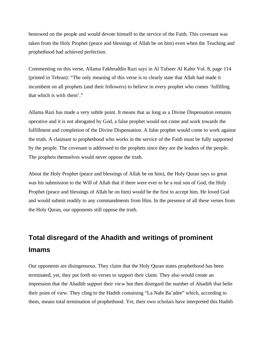bestowed on the people and would devote himself to the service of the Faith. This covenant was taken from the Holy Prophet (peace and blessings of Allah be on him) even when the Teaching and prophethood had achieved perfection.

Commenting on this verse, Allama Fakhruddin Razi says in Al Tafseer Al Kabir Vol. 8, page 114 (printed in Tehran): "The only meaning of this verse is to clearly state that Allah had made it incumbent on all prophets (and their followers) to believe in every prophet who comes 'fulfilling that which is with them'."

Allama Razi has made a very subtle point. It means that as long as a Divine Dispensation remains operative and it is not abrogated by God, a false prophet would not come and work towards the fulfillment and completion of the Divine Dispensation. A false prophet would come to work against the truth. A claimant to prophethood who works in the service of the Faith must be fully supported by the people. The covenant is addressed to the prophets since they are the leaders of the people. The prophets themselves would never oppose the truth.

About the Holy Prophet (peace and blessings of Allah be on him), the Holy Quran says so great was his submission to the Will of Allah that if there were ever to be a real son of God, the Holy Prophet (peace and blessings of Allah be on him) would be the first to accept him. He loved God and would submit readily to any commandments from Him. In the presence of all these verses from the Holy Quran, our opponents still oppose the truth.

## **Total disregard of the Ahadith and writings of prominent Imams**

Our opponents are disingenuous. They claim that the Holy Quran states prophethood has been terminated, yet, they put forth no verses to support their claim. They also would create an impression that the Ahadith support their view but then disregard the number of Ahadith that belie their point of view. They cling to the Hadith containing "La Nabi Ba'adee" which, according to them, means total termination of prophethood. Yet, their own scholars have interpreted this Hadith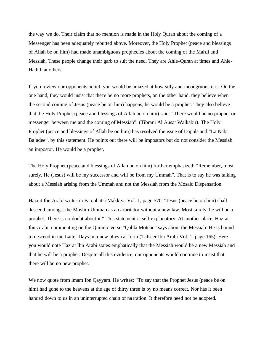the way we do. Their claim that no mention is made in the Holy Quran about the coming of a Messenger has been adequately rebutted above. Moreover, the Holy Prophet (peace and blessings of Allah be on him) had made unambiguous prophecies about the coming of the Mahdi and Messiah. These people change their garb to suit the need. They are Ahle-Quran at times and Ahle-Hadith at others.

If you review our opponents belief, you would be amazed at how silly and incongruous it is. On the one hand, they would insist that the re be no more prophets, on the other hand, they believe when the second coming of Jesus (peace be on him) happens, he would be a prophet. They also believe that the Holy Prophet (peace and blessings of Allah be on him) said: "There would be no prophet or messenger between me and the coming of Messiah". (Tibrani Al Ausat Walkabir). The Holy Prophet (peace and blessings of Allah be on him) has resolved the issue of Dajjals and "La Nabi Ba'adee", by this statement. He points out there will be impostors but do not consider the Messiah an impostor. He would be a prophet.

The Holy Prophet (peace and blessings of Allah be on him) further emphasized: "Remember, most surely, He (Jesus) will be my successor and will be from my Ummah". That is to say he was talking about a Messiah arising from the Ummah and not the Messiah from the Mosaic Dispensation.

Hazrat Ibn Arabi writes in Fatoohat-i-Makkiya Vol. 1, page 570: "Jesus (peace be on him) shall descend amongst the Muslim Ummah as an arbritator without a new law. Most surely, he will be a prophet. There is no doubt about it." This statement is self-explanatory. At another place, Hazrat Ibn Arabi, commenting on the Quranic verse "Qabla Motehe" says about the Messiah: He is bound to descend in the Latter Days in a new physical form (Tafseer Ibn Arabi Vol. 1, page 165). Here you would note Hazrat Ibn Arabi states emphatically that the Messiah would be a new Messiah and that he will be a prophet. Despite all this evidence, our opponents would continue to insist that there will be no new prophet.

We now quote from lmam Ibn Qayyam. He writes: "To say that the Prophet Jesus (peace be on him) had gone to the heavens at the age of thirty three is by no means correct. Nor has it been handed down to us in an uninterrupted chain of na rration. It therefore need not be adopted.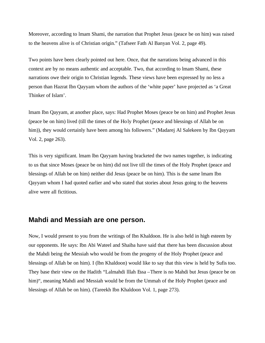Moreover, according to lmam Shami, the narration that Prophet Jesus (peace be on him) was raised to the heavens alive is of Christian origin." (Tafseer Fath Al Banyan Vol. 2, page 49).

Two points have been clearly pointed out here. Once, that the narrations being advanced in this context are by no means authentic and acceptable. Two, that according to lmam Shami, these narrations owe their origin to Christian legends. These views have been expressed by no less a person than Hazrat Ibn Qayyam whom the authors of the 'white paper' have projected as 'a Great Thinker of Islam'.

lmam Ibn Qayyam, at another place, says: Had Prophet Moses (peace be on him) and Prophet Jesus (peace be on him) lived (till the times of the Holy Prophet (peace and blessings of Allah be on him)), they would certainly have been among his followers." (Madarej Al Salekeen by Ibn Qayyam Vol. 2, page 263).

This is very significant. lmam lbn Qayyam having bracketed the two names together, is indicating to us that since Moses (peace be on him) did not live till the times of the Holy Prophet (peace and blessings of Allah be on him) neither did Jesus (peace be on him). This is the same lmam Ibn Qayyam whom I had quoted earlier and who stated that stories about Jesus going to the heavens alive were all fictitious.

#### **Mahdi and Messiah are one person.**

Now, I would present to you from the writings of Ibn Khaldoon. He is also held in high esteem by our opponents. He says: Ibn Abi Wateel and Shaiba have said that there has been discussion about the Mahdi being the Messiah who would be from the progeny of the Holy Prophet (peace and blessings of Allah be on him). I (lbn Khaldoon) would like to say that this view is held by Sufis too. They base their view on the Hadith "Lalmahdi lllah Essa –There is no Mahdi but Jesus (peace be on him)", meaning Mahdi and Messiah would be from the Ummah of the Holy Prophet (peace and blessings of Allah be on him). (Tareekh Ibn Khaldoon Vol. 1, page 273).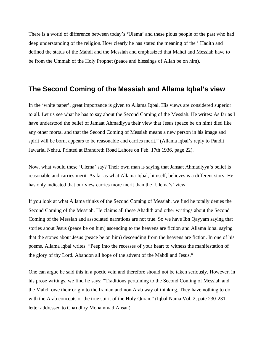There is a world of difference between today's 'Ulema' and these pious people of the past who had deep understanding of the religion. How clearly he has stated the meaning of the ' Hadith and defined the status of the Mahdi and the Messiah and emphasized that Mahdi and Messiah have to be from the Ummah of the Holy Prophet (peace and blessings of Allah be on him).

#### **The Second Coming of the Messiah and Allama Iqbal's view**

In the 'white paper', great importance is given to Allama Iqbal. His views are considered superior to all. Let us see what he has to say about the Second Coming of the Messiah. He writes: As far as I have understood the belief of Jamaat Ahmadiyya their view that Jesus (peace be on him) died like any other mortal and that the Second Coming of Messiah means a new person in his image and spirit will be born, appears to be reasonable and carries merit." (Allama lqbal's reply to Pandit Jawarlal Nehru. Printed at Brandreth Road Lahore on Feb. 17th 1936, page 22).

Now, what would these 'Ulema' say? Their own man is saying that Jamaat Ahmadiyya's belief is reasonable and carries merit. As far as what Allama Iqbal, himself, believes is a different story. He has only indicated that our view carries more merit than the 'Ulema's' view.

If you look at what Allama thinks of the Second Coming of Messiah, we find he totally denies the Second Coming of the Messiah. He claims all these Ahadith and other writings about the Second Coming of the Messiah and associated narrations are not true. So we have Ibn Qayyam saying that stories about Jesus (peace be on him) ascending to the heavens are fiction and Allama lqbal saying that the stones about Jesus (peace be on him) descending from the heavens are fiction. In one of his poems, Allama lqbal writes: "Peep into the recesses of your heart to witness the manifestation of the glory of thy Lord. Abandon all hope of the advent of the Mahdi and Jesus."

One can argue he said this in a poetic vein and therefore should not be taken seriously. However, in his prose writings, we find he says: "Traditions pertaining to the Second Coming of Messiah and the Mahdi owe their origin to the Iranian and non-Arab way of thinking. They have nothing to do with the Arab concepts or the true spirit of the Holy Quran." (Iqbal Nama Vol. 2, pate 230-231) letter addressed to Chaudhry Mohammad Ahsan).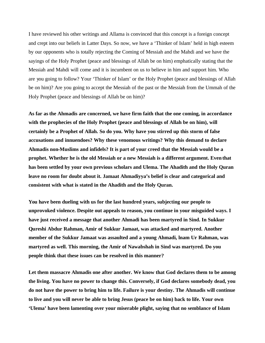I have reviewed his other writings and Allama is convinced that this concept is a foreign concept and crept into our beliefs in Latter Days. So now, we have a 'Thinker of Islam' held in high esteem by our opponents who is totally rejecting the Coming of Messiah and the Mahdi and we have the sayings of the Holy Prophet (peace and blessings of Allah be on him) emphatically stating that the Messiah and Mahdi will come and it is incumbent on us to believe in him and support him. Who are you going to follow? Your 'Thinker of Islam' or the Holy Prophet (peace and blessings of Allah be on him)? Are you going to accept the Messiah of the past or the Messiah from the Ummah of the Holy Prophet (peace and blessings of Allah be on him)?

**As far as the Ahmadis are concerned, we have firm faith that the one coming, in accordance with the prophecies of the Holy Prophet (peace and blessings of Allah be on him), will certainly be a Prophet of Allah. So do you. Why have you stirred up this storm of false accusations and innuendoes? Why these venomous writings? Why this demand to declare Ahmadis non-Muslims and infidels? It is part of your creed that the Messiah would be a prophet. Whether he is the old Messiah or a new Messiah is a different argument. Even that has been settled by your own previous scholars and Ulema. The Ahadith and the Holy Quran leave no room for doubt about it. Jamaat Ahmadiyya's belief is clear and categorical and consistent with what is stated in the Ahadith and the Holy Quran.**

**You have been dueling with us for the last hundred years, subjecting our people to unprovoked violence. Despite out appeals to reason, you continue in your misguided ways. I have just received a message that another Ahmadi has been martyred in Sind. In Sukkur Qureshi Abdur Rahman, Amir of Sukkur Jamaat, was attacked and martyred. Another member of the Sukkur Jamaat was assaulted and a young Ahmadi, lnam Ur Rahman, was martyred as well. This morning, the Amir of Nawabshah in Sind was martyred. Do you people think that these issues can be resolved in this manner?**

**Let them massacre Ahmadis one after another. We know that God declares them to be among the living. You have no power to change this. Conversely, if God declares somebody dead, you do not have the power to bring him to life. Failure is your destiny. The Ahmadis will continue to live and you will never be able to bring Jesus (peace be on him) back to life. Your own 'Ulema' have been lamenting over your miserable plight, saying that no semblance of Islam**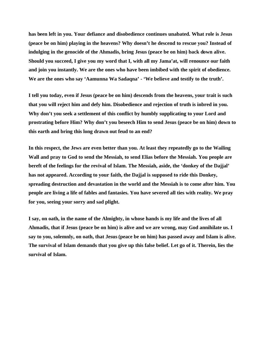**has been left in you. Your defiance and disobedience continues unabated. What role is Jesus (peace be on him) playing in the heavens? Why doesn't he descend to rescue you? Instead of indulging in the genocide of the Ahmadis, bring Jesus (peace be on him) back down alive. Should you succeed, I give you my word that I, with all my Jama'at, will renounce our faith and join you instantly. We are the ones who have been imbibed with the spirit of obedience. We are the ones who say 'Aamunna Wa Sadaqna' - 'We believe and testify to the truth'.**

**I tell you today, even if Jesus (peace be on him) descends from the heavens, your trait is such that you will reject him and defy him. Disobedience and rejection of truth is inbred in you. Why don't you seek a settlement of this conflict by humbly supplicating to your Lord and prostrating before Him? Why don't you beseech Him to send Jesus (peace be on him) down to this earth and bring this long drawn out feud to an end?**

**In this respect, the Jews are even better than you. At least they repeatedly go to the Wailing Wall and pray to God to send the Messiah, to send Elias before the Messiah. You people are bereft of the feelings for the revival of Islam. The Messiah, aside, the 'donkey of the Dajjal' has not appeared. According to your faith, the Dajjal is supposed to ride this Donkey, spreading destruction and devastation in the world and the Messiah is to come after him. You people are living a life of fables and fantasies. You have severed all ties with reality. We pray for you, seeing your sorry and sad plight.**

**I say, on oath, in the name of the Almighty, in whose hands is my life and the lives of all Ahmadis, that if Jesus (peace be on him) is alive and we are wrong, may God annihilate us. I say to you, solemnly, on oath, that Jesus (peace be on him) has passed away and Islam is alive. The survival of Islam demands that you give up this false belief. Let go of it. Therein, lies the survival of Islam.**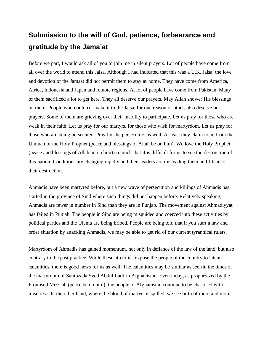## **Submission to the will of God, patience, forbearance and gratitude by the Jama'at**

Before we part, I would ask all of you to join me in silent prayers. Lot of people have come from all over the world to attend this Jalsa. Although I had indicated that this was a U.K. Jalsa, the love and devotion of the Jamaat did not permit them to stay at home. They have come from America, Africa, Indonesia and Japan and remote regions. At lot of people have come from Pakistan. Many of them sacrificed a lot to get here. They all deserve our prayers. May Allah shower His blessings on them. People who could not make it to the Jalsa, for one reason or other, also deserve our prayers. Some of them are grieving over their inability to participate. Let us pray for those who are weak in their faith. Let us pray for our martyrs, for those who wish for martyrdom. Let us pray for those who are being persecuted. Pray for the persecutors as well. At least they claim to be from the Ummah of the Holy Prophet (peace and blessings of Allah be on him). We love the Holy Prophet (peace and blessings of Allah be on him) so much that it is difficult for us to see the destruction of this nation. Conditions are changing rapidly and their leaders are misleading them and I fear for their destruction.

Ahmadis have been martyred before, but a new wave of persecution and killings of Ahmadis has started in the province of Sind where such things did not happen before. Relatively speaking, Ahmadis are fewer in number in Sind than they are in Punjab. The movement against Ahmadiyyat has failed in Punjab. The people in Sind are being misguided and coerced into these activities by political parties and the Ulema are being bribed. People are being told that if you start a law and order situation by attacking Ahmadis, we may be able to get rid of our current tyrannical rulers.

Martyrdom of Ahmadis has gained momentum, not only in defiance of the law of the land, but also contrary to the past practice. While these atrocities expose the people of the country to latent calamities, there is good news for us as well. The calamities may be similar as seen in the times of the martyrdom of Sahibzada Syed Abdul Latif in Afghanistan. Even today, as prophesized by the Promised Messiah (peace be on him), the people of Afghanistan continue to be chastised with miseries. On the other hand, where the blood of martyrs is spilled, we see birth of more and more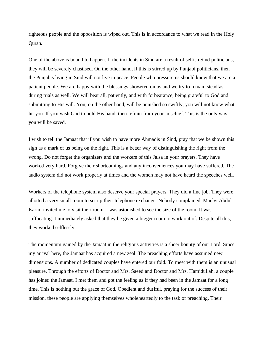righteous people and the opposition is wiped out. This is in accordance to what we read in the Holy Quran.

One of the above is bound to happen. If the incidents in Sind are a result of selfish Sind politicians, they will be severely chastised. On the other hand, if this is stirred up by Punjabi politicians, then the Punjabis living in Sind will not live in peace. People who pressure us should know that we are a patient people. We are happy with the blessings showered on us and we try to remain steadfast during trials as well. We will bear all, patiently, and with forbearance, being grateful to God and submitting to His will. You, on the other hand, will be punished so swiftly, you will not know what hit you. If you wish God to hold His hand, then refrain from your mischief. This is the only way you will be saved.

I wish to tell the Jamaat that if you wish to have more Ahmadis in Sind, pray that we be shown this sign as a mark of us being on the right. This is a better way of distinguishing the right from the wrong. Do not forget the organizers and the workers of this Jalsa in your prayers. They have worked very hard. Forgive their shortcomings and any inconveniences you may have suffered. The audio system did not work properly at times and the women may not have heard the speeches well.

Workers of the telephone system also deserve your special prayers. They did a fine job. They were allotted a very small room to set up their telephone exchange. Nobody complained. Maulvi Abdul Karim invited me to visit their room. I was astonished to see the size of the room. It was suffocating. I immediately asked that they be given a bigger room to work out of. Despite all this, they worked selflessly.

The momentum gained by the Jamaat in the religious activities is a sheer bounty of our Lord. Since my arrival here, the Jamaat has acquired a new zeal. The preaching efforts have assumed new dimensions. A number of dedicated couples have entered our fold. To meet with them is an unusual pleasure. Through the efforts of Doctor and Mrs. Saeed and Doctor and Mrs. Hamidullah, a couple has joined the Jamaat. I met them and got the feeling as if they had been in the Jamaat for a long time. This is nothing but the grace of God. Obedient and dutiful, praying for the success of their mission, these people are applying themselves wholeheartedly to the task of preaching. Their